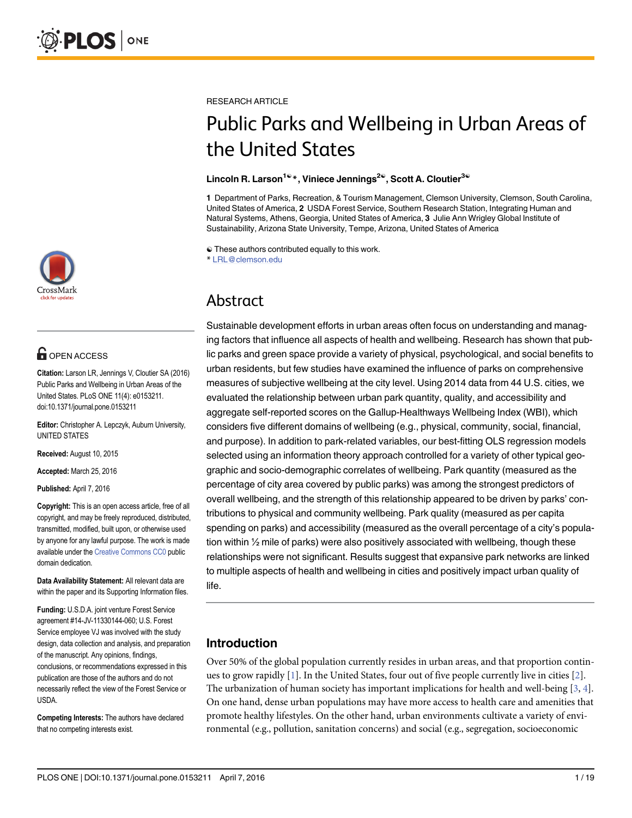

# **G** OPEN ACCESS

Citation: Larson LR, Jennings V, Cloutier SA (2016) Public Parks and Wellbeing in Urban Areas of the United States. PLoS ONE 11(4): e0153211. doi:10.1371/journal.pone.0153211

Editor: Christopher A. Lepczyk, Auburn University, UNITED STATES

Received: August 10, 2015

Accepted: March 25, 2016

Published: April 7, 2016

Copyright: This is an open access article, free of all copyright, and may be freely reproduced, distributed, transmitted, modified, built upon, or otherwise used by anyone for any lawful purpose. The work is made available under the [Creative Commons CC0](https://creativecommons.org/publicdomain/zero/1.0/) public domain dedication.

Data Availability Statement: All relevant data are within the paper and its Supporting Information files.

Funding: U.S.D.A. joint venture Forest Service agreement #14-JV-11330144-060; U.S. Forest Service employee VJ was involved with the study design, data collection and analysis, and preparation of the manuscript. Any opinions, findings, conclusions, or recommendations expressed in this publication are those of the authors and do not necessarily reflect the view of the Forest Service or USDA.

Competing Interests: The authors have declared that no competing interests exist.

<span id="page-0-0"></span>RESEARCH ARTICLE

# Public Parks and Wellbeing in Urban Areas of the United States

### Lincoln R. Larson<sup>1©</sup> \*, Viniece Jennings<sup>2©</sup>, Scott A. Cloutier<sup>3©</sup>

1 Department of Parks, Recreation, & Tourism Management, Clemson University, Clemson, South Carolina, United States of America, 2 USDA Forest Service, Southern Research Station, Integrating Human and Natural Systems, Athens, Georgia, United States of America, 3 Julie Ann Wrigley Global Institute of Sustainability, Arizona State University, Tempe, Arizona, United States of America

☯ These authors contributed equally to this work.

\* LRL@clemson.edu

## Abstract

Sustainable development efforts in urban areas often focus on understanding and managing factors that influence all aspects of health and wellbeing. Research has shown that public parks and green space provide a variety of physical, psychological, and social benefits to urban residents, but few studies have examined the influence of parks on comprehensive measures of subjective wellbeing at the city level. Using 2014 data from 44 U.S. cities, we evaluated the relationship between urban park quantity, quality, and accessibility and aggregate self-reported scores on the Gallup-Healthways Wellbeing Index (WBI), which considers five different domains of wellbeing (e.g., physical, community, social, financial, and purpose). In addition to park-related variables, our best-fitting OLS regression models selected using an information theory approach controlled for a variety of other typical geographic and socio-demographic correlates of wellbeing. Park quantity (measured as the percentage of city area covered by public parks) was among the strongest predictors of overall wellbeing, and the strength of this relationship appeared to be driven by parks' contributions to physical and community wellbeing. Park quality (measured as per capita spending on parks) and accessibility (measured as the overall percentage of a city's population within ½ mile of parks) were also positively associated with wellbeing, though these relationships were not significant. Results suggest that expansive park networks are linked to multiple aspects of health and wellbeing in cities and positively impact urban quality of life.

### Introduction

Over 50% of the global population currently resides in urban areas, and that proportion continues to grow rapidly  $[1]$  $[1]$ . In the United States, four out of five people currently live in cities  $[2]$  $[2]$ . The urbanization of human society has important implications for health and well-being [[3](#page-14-0), [4\]](#page-14-0). On one hand, dense urban populations may have more access to health care and amenities that promote healthy lifestyles. On the other hand, urban environments cultivate a variety of environmental (e.g., pollution, sanitation concerns) and social (e.g., segregation, socioeconomic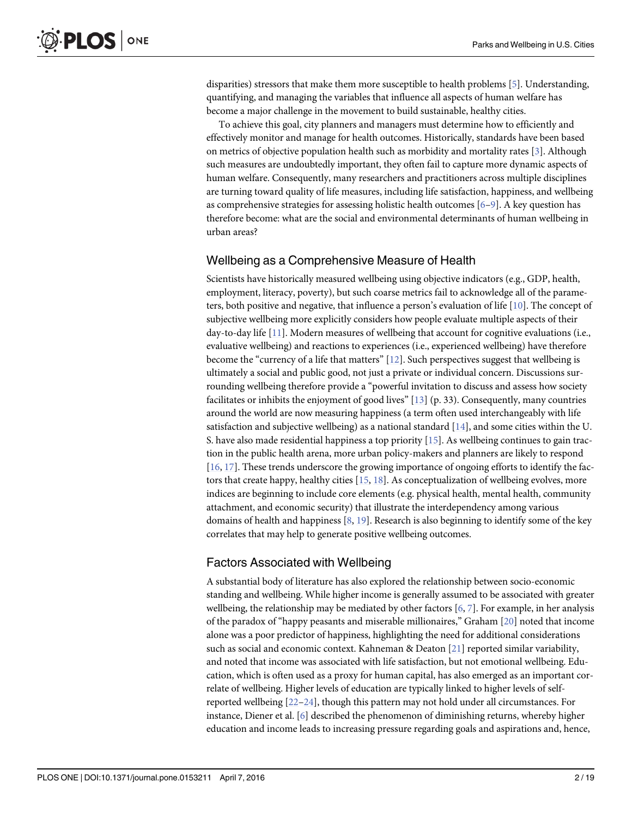<span id="page-1-0"></span>disparities) stressors that make them more susceptible to health problems [\[5\]](#page-14-0). Understanding, quantifying, and managing the variables that influence all aspects of human welfare has become a major challenge in the movement to build sustainable, healthy cities.

To achieve this goal, city planners and managers must determine how to efficiently and effectively monitor and manage for health outcomes. Historically, standards have been based on metrics of objective population health such as morbidity and mortality rates [\[3\]](#page-14-0). Although such measures are undoubtedly important, they often fail to capture more dynamic aspects of human welfare. Consequently, many researchers and practitioners across multiple disciplines are turning toward quality of life measures, including life satisfaction, happiness, and wellbeing as comprehensive strategies for assessing holistic health outcomes  $[6-9]$  $[6-9]$  $[6-9]$  $[6-9]$  $[6-9]$ . A key question has therefore become: what are the social and environmental determinants of human wellbeing in urban areas?

### Wellbeing as a Comprehensive Measure of Health

Scientists have historically measured wellbeing using objective indicators (e.g., GDP, health, employment, literacy, poverty), but such coarse metrics fail to acknowledge all of the parameters, both positive and negative, that influence a person's evaluation of life [[10\]](#page-14-0). The concept of subjective wellbeing more explicitly considers how people evaluate multiple aspects of their day-to-day life [[11](#page-14-0)]. Modern measures of wellbeing that account for cognitive evaluations (i.e., evaluative wellbeing) and reactions to experiences (i.e., experienced wellbeing) have therefore become the "currency of a life that matters" [\[12](#page-14-0)]. Such perspectives suggest that wellbeing is ultimately a social and public good, not just a private or individual concern. Discussions surrounding wellbeing therefore provide a "powerful invitation to discuss and assess how society facilitates or inhibits the enjoyment of good lives"  $[13]$  $[13]$  (p. 33). Consequently, many countries around the world are now measuring happiness (a term often used interchangeably with life satisfaction and subjective wellbeing) as a national standard  $[14]$ , and some cities within the U. S. have also made residential happiness a top priority  $[15]$  $[15]$ . As wellbeing continues to gain traction in the public health arena, more urban policy-makers and planners are likely to respond [\[16](#page-14-0), [17\]](#page-14-0). These trends underscore the growing importance of ongoing efforts to identify the factors that create happy, healthy cities  $[15, 18]$  $[15, 18]$  $[15, 18]$  $[15, 18]$  $[15, 18]$ . As conceptualization of wellbeing evolves, more indices are beginning to include core elements (e.g. physical health, mental health, community attachment, and economic security) that illustrate the interdependency among various domains of health and happiness  $[8, 19]$  $[8, 19]$  $[8, 19]$ . Research is also beginning to identify some of the key correlates that may help to generate positive wellbeing outcomes.

### Factors Associated with Wellbeing

A substantial body of literature has also explored the relationship between socio-economic standing and wellbeing. While higher income is generally assumed to be associated with greater wellbeing, the relationship may be mediated by other factors  $[6, 7]$  $[6, 7]$  $[6, 7]$  $[6, 7]$ . For example, in her analysis of the paradox of "happy peasants and miserable millionaires," Graham [\[20\]](#page-14-0) noted that income alone was a poor predictor of happiness, highlighting the need for additional considerations such as social and economic context. Kahneman & Deaton  $[21]$  $[21]$  $[21]$  reported similar variability, and noted that income was associated with life satisfaction, but not emotional wellbeing. Education, which is often used as a proxy for human capital, has also emerged as an important correlate of wellbeing. Higher levels of education are typically linked to higher levels of selfreported wellbeing [[22](#page-14-0)–[24\]](#page-14-0), though this pattern may not hold under all circumstances. For instance, Diener et al. [[6\]](#page-14-0) described the phenomenon of diminishing returns, whereby higher education and income leads to increasing pressure regarding goals and aspirations and, hence,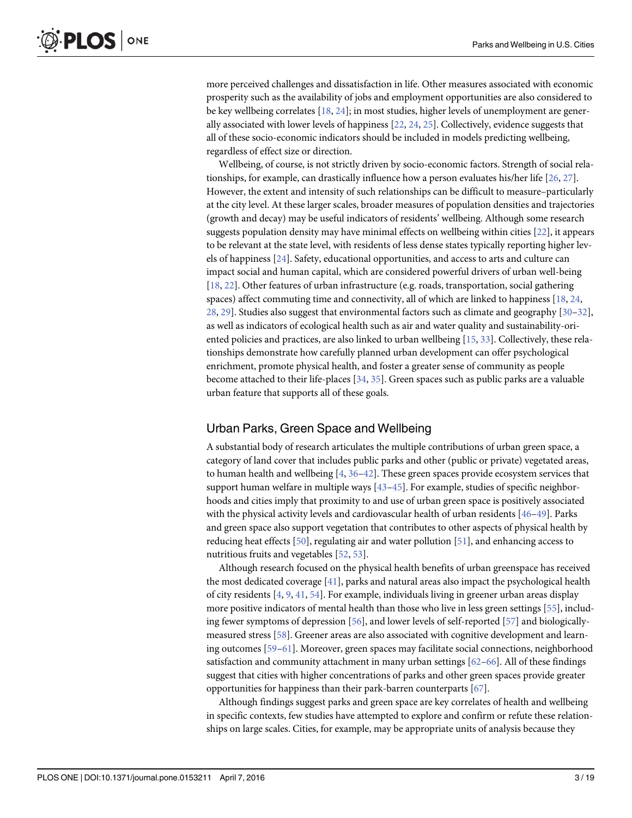<span id="page-2-0"></span>more perceived challenges and dissatisfaction in life. Other measures associated with economic prosperity such as the availability of jobs and employment opportunities are also considered to be key wellbeing correlates [\[18,](#page-14-0) [24\]](#page-14-0); in most studies, higher levels of unemployment are generally associated with lower levels of happiness [\[22,](#page-14-0) [24,](#page-14-0) [25\]](#page-14-0). Collectively, evidence suggests that all of these socio-economic indicators should be included in models predicting wellbeing, regardless of effect size or direction.

Wellbeing, of course, is not strictly driven by socio-economic factors. Strength of social relationships, for example, can drastically influence how a person evaluates his/her life [[26](#page-14-0), [27](#page-15-0)]. However, the extent and intensity of such relationships can be difficult to measure–particularly at the city level. At these larger scales, broader measures of population densities and trajectories (growth and decay) may be useful indicators of residents' wellbeing. Although some research suggests population density may have minimal effects on wellbeing within cities  $[22]$ , it appears to be relevant at the state level, with residents of less dense states typically reporting higher levels of happiness [[24\]](#page-14-0). Safety, educational opportunities, and access to arts and culture can impact social and human capital, which are considered powerful drivers of urban well-being [\[18](#page-14-0), [22\]](#page-14-0). Other features of urban infrastructure (e.g. roads, transportation, social gathering spaces) affect commuting time and connectivity, all of which are linked to happiness [[18](#page-14-0), [24](#page-14-0), [28,](#page-15-0) [29\]](#page-15-0). Studies also suggest that environmental factors such as climate and geography [[30](#page-15-0)–[32](#page-15-0)], as well as indicators of ecological health such as air and water quality and sustainability-oriented policies and practices, are also linked to urban wellbeing [[15](#page-14-0), [33](#page-15-0)]. Collectively, these relationships demonstrate how carefully planned urban development can offer psychological enrichment, promote physical health, and foster a greater sense of community as people become attached to their life-places  $[34, 35]$  $[34, 35]$  $[34, 35]$ . Green spaces such as public parks are a valuable urban feature that supports all of these goals.

### Urban Parks, Green Space and Wellbeing

A substantial body of research articulates the multiple contributions of urban green space, a category of land cover that includes public parks and other (public or private) vegetated areas, to human health and wellbeing [\[4](#page-14-0), [36](#page-15-0)–[42\]](#page-15-0). These green spaces provide ecosystem services that support human welfare in multiple ways  $[43-45]$  $[43-45]$  $[43-45]$ . For example, studies of specific neighborhoods and cities imply that proximity to and use of urban green space is positively associated with the physical activity levels and cardiovascular health of urban residents [\[46](#page-15-0)–[49\]](#page-15-0). Parks and green space also support vegetation that contributes to other aspects of physical health by reducing heat effects [[50\]](#page-16-0), regulating air and water pollution [\[51\]](#page-16-0), and enhancing access to nutritious fruits and vegetables [[52,](#page-16-0) [53\]](#page-16-0).

Although research focused on the physical health benefits of urban greenspace has received the most dedicated coverage [\[41](#page-15-0)], parks and natural areas also impact the psychological health of city residents  $[4, 9, 41, 54]$  $[4, 9, 41, 54]$  $[4, 9, 41, 54]$  $[4, 9, 41, 54]$  $[4, 9, 41, 54]$  $[4, 9, 41, 54]$  $[4, 9, 41, 54]$  $[4, 9, 41, 54]$ . For example, individuals living in greener urban areas display more positive indicators of mental health than those who live in less green settings [[55\]](#page-16-0), including fewer symptoms of depression [[56](#page-16-0)], and lower levels of self-reported [\[57\]](#page-16-0) and biologicallymeasured stress [\[58\]](#page-16-0). Greener areas are also associated with cognitive development and learning outcomes [[59](#page-16-0)–[61](#page-16-0)]. Moreover, green spaces may facilitate social connections, neighborhood satisfaction and community attachment in many urban settings  $[62-66]$  $[62-66]$  $[62-66]$  $[62-66]$ . All of these findings suggest that cities with higher concentrations of parks and other green spaces provide greater opportunities for happiness than their park-barren counterparts [\[67\]](#page-16-0).

Although findings suggest parks and green space are key correlates of health and wellbeing in specific contexts, few studies have attempted to explore and confirm or refute these relationships on large scales. Cities, for example, may be appropriate units of analysis because they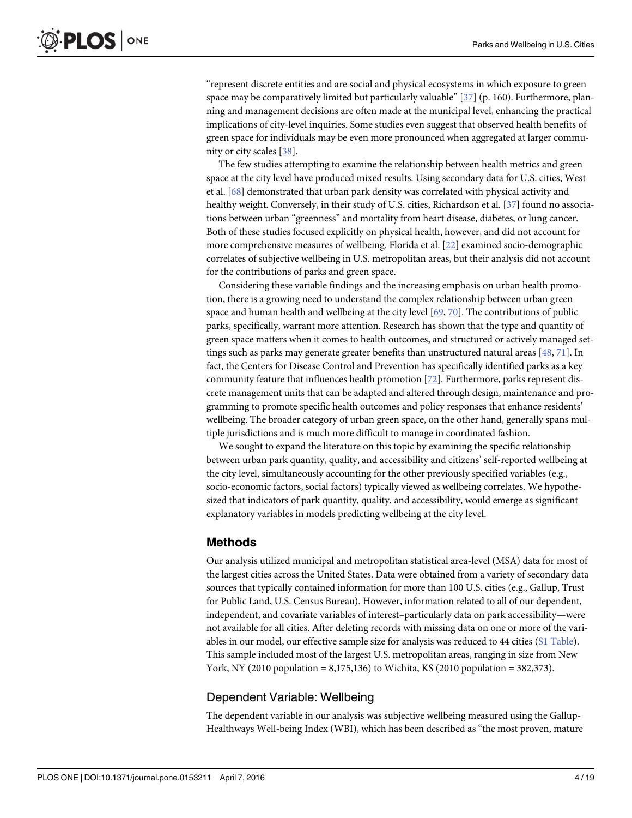<span id="page-3-0"></span>"represent discrete entities and are social and physical ecosystems in which exposure to green space may be comparatively limited but particularly valuable" [\[37\]](#page-15-0) (p. 160). Furthermore, planning and management decisions are often made at the municipal level, enhancing the practical implications of city-level inquiries. Some studies even suggest that observed health benefits of green space for individuals may be even more pronounced when aggregated at larger community or city scales [\[38](#page-15-0)].

The few studies attempting to examine the relationship between health metrics and green space at the city level have produced mixed results. Using secondary data for U.S. cities, West et al. [\[68\]](#page-16-0) demonstrated that urban park density was correlated with physical activity and healthy weight. Conversely, in their study of U.S. cities, Richardson et al. [[37](#page-15-0)] found no associations between urban "greenness" and mortality from heart disease, diabetes, or lung cancer. Both of these studies focused explicitly on physical health, however, and did not account for more comprehensive measures of wellbeing. Florida et al. [[22\]](#page-14-0) examined socio-demographic correlates of subjective wellbeing in U.S. metropolitan areas, but their analysis did not account for the contributions of parks and green space.

Considering these variable findings and the increasing emphasis on urban health promotion, there is a growing need to understand the complex relationship between urban green space and human health and wellbeing at the city level  $[69, 70]$  $[69, 70]$  $[69, 70]$ . The contributions of public parks, specifically, warrant more attention. Research has shown that the type and quantity of green space matters when it comes to health outcomes, and structured or actively managed set-tings such as parks may generate greater benefits than unstructured natural areas [\[48,](#page-15-0) [71\]](#page-17-0). In fact, the Centers for Disease Control and Prevention has specifically identified parks as a key community feature that influences health promotion [\[72\]](#page-17-0). Furthermore, parks represent discrete management units that can be adapted and altered through design, maintenance and programming to promote specific health outcomes and policy responses that enhance residents' wellbeing. The broader category of urban green space, on the other hand, generally spans multiple jurisdictions and is much more difficult to manage in coordinated fashion.

We sought to expand the literature on this topic by examining the specific relationship between urban park quantity, quality, and accessibility and citizens' self-reported wellbeing at the city level, simultaneously accounting for the other previously specified variables (e.g., socio-economic factors, social factors) typically viewed as wellbeing correlates. We hypothesized that indicators of park quantity, quality, and accessibility, would emerge as significant explanatory variables in models predicting wellbeing at the city level.

### Methods

Our analysis utilized municipal and metropolitan statistical area-level (MSA) data for most of the largest cities across the United States. Data were obtained from a variety of secondary data sources that typically contained information for more than 100 U.S. cities (e.g., Gallup, Trust for Public Land, U.S. Census Bureau). However, information related to all of our dependent, independent, and covariate variables of interest–particularly data on park accessibility—were not available for all cities. After deleting records with missing data on one or more of the variables in our model, our effective sample size for analysis was reduced to 44 cities ([S1 Table\)](#page-13-0). This sample included most of the largest U.S. metropolitan areas, ranging in size from New York, NY (2010 population = 8,175,136) to Wichita, KS (2010 population = 382,373).

### Dependent Variable: Wellbeing

The dependent variable in our analysis was subjective wellbeing measured using the Gallup-Healthways Well-being Index (WBI), which has been described as "the most proven, mature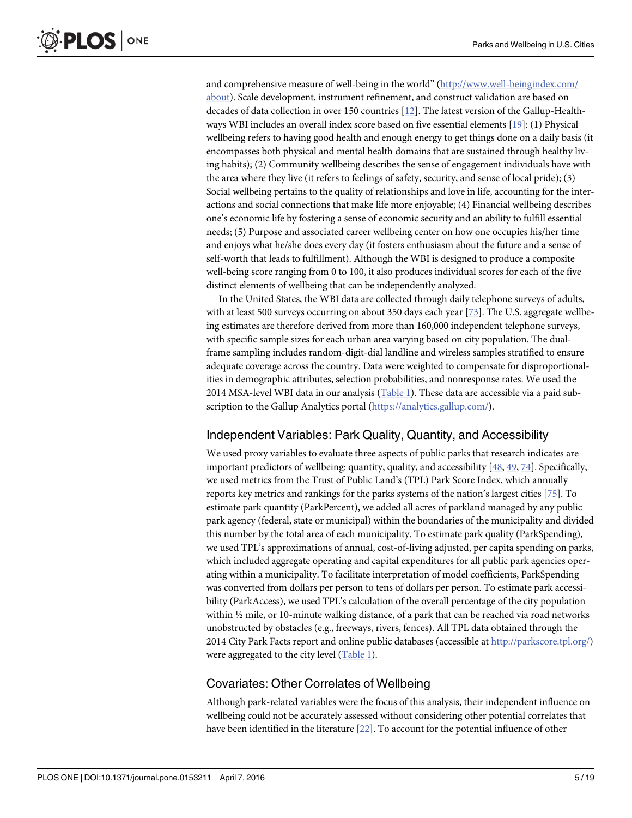<span id="page-4-0"></span>and comprehensive measure of well-being in the world" ([http://www.well-beingindex.com/](http://www.well-beingindex.com/about) [about\)](http://www.well-beingindex.com/about). Scale development, instrument refinement, and construct validation are based on decades of data collection in over 150 countries [\[12\]](#page-14-0). The latest version of the Gallup-Healthways WBI includes an overall index score based on five essential elements [\[19\]](#page-14-0): (1) Physical wellbeing refers to having good health and enough energy to get things done on a daily basis (it encompasses both physical and mental health domains that are sustained through healthy living habits); (2) Community wellbeing describes the sense of engagement individuals have with the area where they live (it refers to feelings of safety, security, and sense of local pride); (3) Social wellbeing pertains to the quality of relationships and love in life, accounting for the interactions and social connections that make life more enjoyable; (4) Financial wellbeing describes one's economic life by fostering a sense of economic security and an ability to fulfill essential needs; (5) Purpose and associated career wellbeing center on how one occupies his/her time and enjoys what he/she does every day (it fosters enthusiasm about the future and a sense of self-worth that leads to fulfillment). Although the WBI is designed to produce a composite well-being score ranging from 0 to 100, it also produces individual scores for each of the five distinct elements of wellbeing that can be independently analyzed.

In the United States, the WBI data are collected through daily telephone surveys of adults, with at least 500 surveys occurring on about 350 days each year  $[73]$ . The U.S. aggregate wellbeing estimates are therefore derived from more than 160,000 independent telephone surveys, with specific sample sizes for each urban area varying based on city population. The dualframe sampling includes random-digit-dial landline and wireless samples stratified to ensure adequate coverage across the country. Data were weighted to compensate for disproportionalities in demographic attributes, selection probabilities, and nonresponse rates. We used the 2014 MSA-level WBI data in our analysis  $(Table 1)$  $(Table 1)$  $(Table 1)$ . These data are accessible via a paid sub-scription to the Gallup Analytics portal [\(https://analytics.gallup.com/](https://analytics.gallup.com/)).

### Independent Variables: Park Quality, Quantity, and Accessibility

We used proxy variables to evaluate three aspects of public parks that research indicates are important predictors of wellbeing: quantity, quality, and accessibility [[48,](#page-15-0) [49,](#page-15-0) [74\]](#page-17-0). Specifically, we used metrics from the Trust of Public Land's (TPL) Park Score Index, which annually reports key metrics and rankings for the parks systems of the nation's largest cities [\[75\]](#page-17-0). To estimate park quantity (ParkPercent), we added all acres of parkland managed by any public park agency (federal, state or municipal) within the boundaries of the municipality and divided this number by the total area of each municipality. To estimate park quality (ParkSpending), we used TPL's approximations of annual, cost-of-living adjusted, per capita spending on parks, which included aggregate operating and capital expenditures for all public park agencies operating within a municipality. To facilitate interpretation of model coefficients, ParkSpending was converted from dollars per person to tens of dollars per person. To estimate park accessibility (ParkAccess), we used TPL's calculation of the overall percentage of the city population within ½ mile, or 10-minute walking distance, of a park that can be reached via road networks unobstructed by obstacles (e.g., freeways, rivers, fences). All TPL data obtained through the 2014 City Park Facts report and online public databases (accessible at [http://parkscore.tpl.org/\)](http://parkscore.tpl.org/) were aggregated to the city level [\(Table 1](#page-5-0)).

### Covariates: Other Correlates of Wellbeing

Although park-related variables were the focus of this analysis, their independent influence on wellbeing could not be accurately assessed without considering other potential correlates that have been identified in the literature [[22](#page-14-0)]. To account for the potential influence of other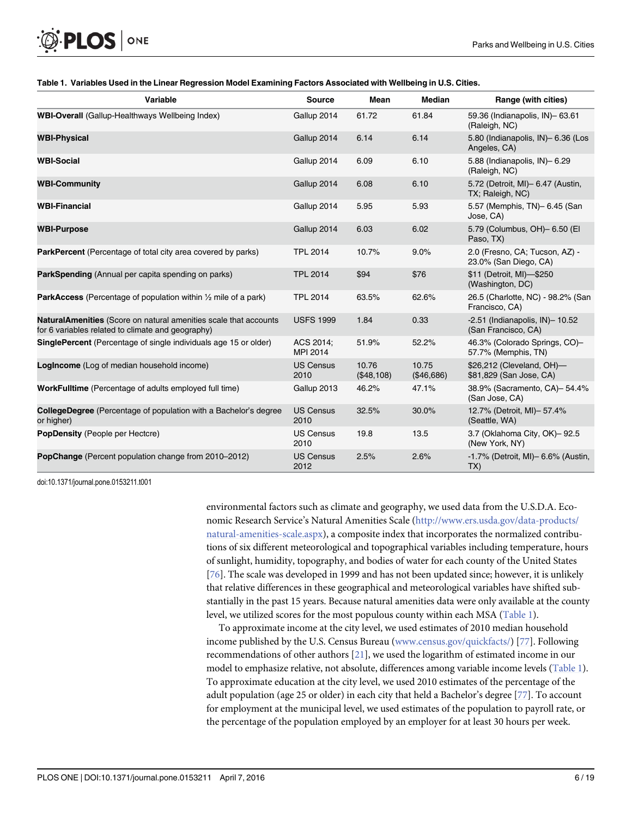<span id="page-5-0"></span>

| <sup>O</sup> PLOS   ONE |  |
|-------------------------|--|
|-------------------------|--|

| Variable                                                                                                              | <b>Source</b>            | Mean                | <b>Median</b>       | Range (with cities)                                        |
|-----------------------------------------------------------------------------------------------------------------------|--------------------------|---------------------|---------------------|------------------------------------------------------------|
| <b>WBI-Overall</b> (Gallup-Healthways Wellbeing Index)                                                                | Gallup 2014              | 61.72               | 61.84               | 59.36 (Indianapolis, IN)-63.61<br>(Raleigh, NC)            |
| <b>WBI-Physical</b>                                                                                                   | Gallup 2014              | 6.14                | 6.14                | 5.80 (Indianapolis, IN)-6.36 (Los<br>Angeles, CA)          |
| <b>WBI-Social</b>                                                                                                     | Gallup 2014              | 6.09                | 6.10                | 5.88 (Indianapolis, IN)-6.29<br>(Raleigh, NC)              |
| <b>WBI-Community</b>                                                                                                  | Gallup 2014              | 6.08                | 6.10                | 5.72 (Detroit, MI)- 6.47 (Austin,<br>TX; Raleigh, NC)      |
| <b>WBI-Financial</b>                                                                                                  | Gallup 2014              | 5.95                | 5.93                | 5.57 (Memphis, TN)- 6.45 (San<br>Jose, CA)                 |
| <b>WBI-Purpose</b>                                                                                                    | Gallup 2014              | 6.03                | 6.02                | 5.79 (Columbus, OH)- 6.50 (EI<br>Paso, TX)                 |
| ParkPercent (Percentage of total city area covered by parks)                                                          | <b>TPL 2014</b>          | 10.7%               | 9.0%                | 2.0 (Fresno, CA; Tucson, AZ) -<br>23.0% (San Diego, CA)    |
| ParkSpending (Annual per capita spending on parks)                                                                    | <b>TPL 2014</b>          | \$94                | \$76                | \$11 (Detroit, MI)-\$250<br>(Washington, DC)               |
| <b>ParkAccess</b> (Percentage of population within $\frac{1}{2}$ mile of a park)                                      | <b>TPL 2014</b>          | 63.5%               | 62.6%               | 26.5 (Charlotte, NC) - 98.2% (San<br>Francisco, CA)        |
| NaturalAmenities (Score on natural amenities scale that accounts<br>for 6 variables related to climate and geography) | <b>USFS 1999</b>         | 1.84                | 0.33                | $-2.51$ (Indianapolis, IN) $-10.52$<br>(San Francisco, CA) |
| <b>SinglePercent</b> (Percentage of single individuals age 15 or older)                                               | ACS 2014:<br>MPI 2014    | 51.9%               | 52.2%               | 46.3% (Colorado Springs, CO)-<br>57.7% (Memphis, TN)       |
| Logincome (Log of median household income)                                                                            | <b>US Census</b><br>2010 | 10.76<br>(\$48,108) | 10.75<br>(\$46,686) | \$26,212 (Cleveland, OH)-<br>\$81,829 (San Jose, CA)       |
| WorkFulltime (Percentage of adults employed full time)                                                                | Gallup 2013              | 46.2%               | 47.1%               | 38.9% (Sacramento, CA)-54.4%<br>(San Jose, CA)             |
| <b>CollegeDegree</b> (Percentage of population with a Bachelor's degree<br>or higher)                                 | <b>US Census</b><br>2010 | 32.5%               | 30.0%               | 12.7% (Detroit, MI)-57.4%<br>(Seattle, WA)                 |
| <b>PopDensity</b> (People per Hectcre)                                                                                | <b>US Census</b><br>2010 | 19.8                | 13.5                | 3.7 (Oklahoma City, OK)-92.5<br>(New York, NY)             |
| PopChange (Percent population change from 2010-2012)                                                                  | <b>US Census</b><br>2012 | 2.5%                | 2.6%                | -1.7% (Detroit, MI)- 6.6% (Austin,<br>TX)                  |

#### [Table 1.](#page-4-0) Variables Used in the Linear Regression Model Examining Factors Associated with Wellbeing in U.S. Cities.

doi:10.1371/journal.pone.0153211.t001

environmental factors such as climate and geography, we used data from the U.S.D.A. Economic Research Service's Natural Amenities Scale ([http://www.ers.usda.gov/data-products/](http://www.ers.usda.gov/data-products/natural-amenities-scale.aspx) [natural-amenities-scale.aspx\)](http://www.ers.usda.gov/data-products/natural-amenities-scale.aspx), a composite index that incorporates the normalized contributions of six different meteorological and topographical variables including temperature, hours of sunlight, humidity, topography, and bodies of water for each county of the United States [\[76](#page-17-0)]. The scale was developed in 1999 and has not been updated since; however, it is unlikely that relative differences in these geographical and meteorological variables have shifted substantially in the past 15 years. Because natural amenities data were only available at the county level, we utilized scores for the most populous county within each MSA (Table 1).

To approximate income at the city level, we used estimates of 2010 median household income published by the U.S. Census Bureau ([www.census.gov/quickfacts/\)](http://www.census.gov/quickfacts/) [[77](#page-17-0)]. Following recommendations of other authors [[21](#page-14-0)], we used the logarithm of estimated income in our model to emphasize relative, not absolute, differences among variable income levels (Table 1). To approximate education at the city level, we used 2010 estimates of the percentage of the adult population (age 25 or older) in each city that held a Bachelor's degree [[77](#page-17-0)]. To account for employment at the municipal level, we used estimates of the population to payroll rate, or the percentage of the population employed by an employer for at least 30 hours per week.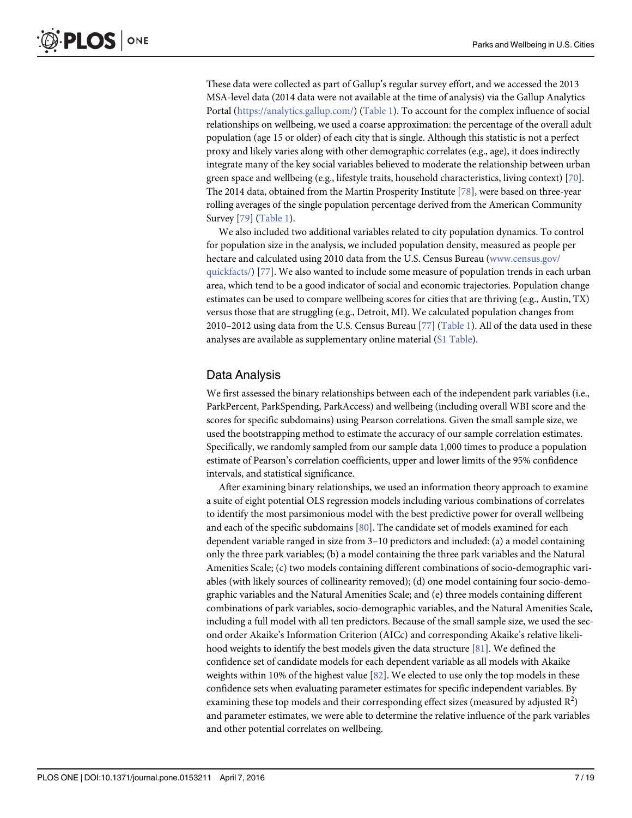<span id="page-6-0"></span>These data were collected as part of Gallup's regular survey effort, and we accessed the 2013 MSA-level data (2014 data were not available at the time of analysis) via the Gallup Analytics Portal ([https://analytics.gallup.com/\)](https://analytics.gallup.com/) ([Table 1](#page-5-0)). To account for the complex influence of social relationships on wellbeing, we used a coarse approximation: the percentage of the overall adult population (age 15 or older) of each city that is single. Although this statistic is not a perfect proxy and likely varies along with other demographic correlates (e.g., age), it does indirectly integrate many of the key social variables believed to moderate the relationship between urban green space and wellbeing (e.g., lifestyle traits, household characteristics, living context) [[70](#page-16-0)]. The 2014 data, obtained from the Martin Prosperity Institute [[78](#page-17-0)], were based on three-year rolling averages of the single population percentage derived from the American Community Survey [[79](#page-17-0)] [\(Table 1](#page-5-0)).

We also included two additional variables related to city population dynamics. To control for population size in the analysis, we included population density, measured as people per hectare and calculated using 2010 data from the U.S. Census Bureau ([www.census.gov/](http://www.census.gov/quickfacts/) [quickfacts/](http://www.census.gov/quickfacts/)) [\[77](#page-17-0)]. We also wanted to include some measure of population trends in each urban area, which tend to be a good indicator of social and economic trajectories. Population change estimates can be used to compare wellbeing scores for cities that are thriving (e.g., Austin, TX) versus those that are struggling (e.g., Detroit, MI). We calculated population changes from 2010–2012 using data from the U.S. Census Bureau [[77](#page-17-0)] [\(Table 1\)](#page-5-0). All of the data used in these analyses are available as supplementary online material ([S1 Table\)](#page-13-0).

### Data Analysis

We first assessed the binary relationships between each of the independent park variables (i.e., ParkPercent, ParkSpending, ParkAccess) and wellbeing (including overall WBI score and the scores for specific subdomains) using Pearson correlations. Given the small sample size, we used the bootstrapping method to estimate the accuracy of our sample correlation estimates. Specifically, we randomly sampled from our sample data 1,000 times to produce a population estimate of Pearson's correlation coefficients, upper and lower limits of the 95% confidence intervals, and statistical significance.

After examining binary relationships, we used an information theory approach to examine a suite of eight potential OLS regression models including various combinations of correlates to identify the most parsimonious model with the best predictive power for overall wellbeing and each of the specific subdomains [[80\]](#page-17-0). The candidate set of models examined for each dependent variable ranged in size from 3–10 predictors and included: (a) a model containing only the three park variables; (b) a model containing the three park variables and the Natural Amenities Scale; (c) two models containing different combinations of socio-demographic variables (with likely sources of collinearity removed); (d) one model containing four socio-demographic variables and the Natural Amenities Scale; and (e) three models containing different combinations of park variables, socio-demographic variables, and the Natural Amenities Scale, including a full model with all ten predictors. Because of the small sample size, we used the second order Akaike's Information Criterion (AICc) and corresponding Akaike's relative likelihood weights to identify the best models given the data structure  $[81]$  $[81]$  $[81]$ . We defined the confidence set of candidate models for each dependent variable as all models with Akaike weights within 10% of the highest value [[82](#page-17-0)]. We elected to use only the top models in these confidence sets when evaluating parameter estimates for specific independent variables. By examining these top models and their corresponding effect sizes (measured by adjusted  $\mathbb{R}^2$ ) and parameter estimates, we were able to determine the relative influence of the park variables and other potential correlates on wellbeing.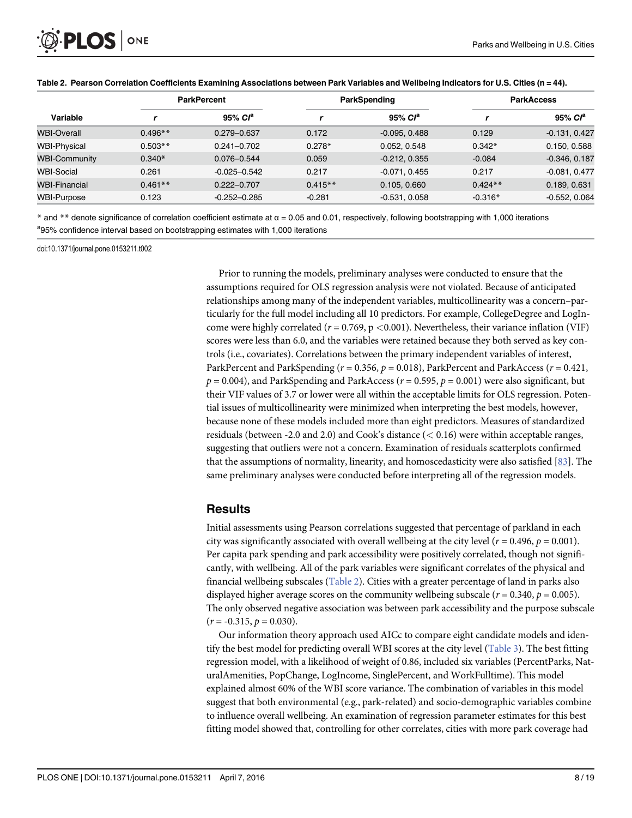<span id="page-7-0"></span>

| <b>ParkPercent</b>   |           |                  | ParkSpending | <b>ParkAccess</b> |           |                 |
|----------------------|-----------|------------------|--------------|-------------------|-----------|-----------------|
| Variable             |           | 95% $CIa$        |              | 95% $CIa$         |           | 95% $CIa$       |
| <b>WBI-Overall</b>   | $0.496**$ | $0.279 - 0.637$  | 0.172        | $-0.095, 0.488$   | 0.129     | $-0.131, 0.427$ |
| <b>WBI-Physical</b>  | $0.503**$ | $0.241 - 0.702$  | $0.278*$     | 0.052, 0.548      | $0.342*$  | 0.150, 0.588    |
| <b>WBI-Community</b> | $0.340*$  | $0.076 - 0.544$  | 0.059        | $-0.212, 0.355$   | $-0.084$  | $-0.346, 0.187$ |
| <b>WBI-Social</b>    | 0.261     | $-0.025 - 0.542$ | 0.217        | $-0.071, 0.455$   | 0.217     | $-0.081, 0.477$ |
| <b>WBI-Financial</b> | $0.461**$ | $0.222 - 0.707$  | $0.415**$    | 0.105, 0.660      | $0.424**$ | 0.189, 0.631    |
| <b>WBI-Purpose</b>   | 0.123     | $-0.252 - 0.285$ | $-0.281$     | $-0.531, 0.058$   | $-0.316*$ | $-0.552, 0.064$ |

#### Table 2. Pearson Correlation Coefficients Examining Associations between Park Variables and Wellbeing Indicators for U.S. Cities (n = 44).

 $*$  and  $**$  denote significance of correlation coefficient estimate at  $α = 0.05$  and 0.01, respectively, following bootstrapping with 1,000 iterations <sup>a</sup>95% confidence interval based on bootstrapping estimates with 1,000 iterations

doi:10.1371/journal.pone.0153211.t002

Prior to running the models, preliminary analyses were conducted to ensure that the assumptions required for OLS regression analysis were not violated. Because of anticipated relationships among many of the independent variables, multicollinearity was a concern–particularly for the full model including all 10 predictors. For example, CollegeDegree and LogIncome were highly correlated ( $r = 0.769$ ,  $p < 0.001$ ). Nevertheless, their variance inflation (VIF) scores were less than 6.0, and the variables were retained because they both served as key controls (i.e., covariates). Correlations between the primary independent variables of interest, ParkPercent and ParkSpending ( $r = 0.356$ ,  $p = 0.018$ ), ParkPercent and ParkAccess ( $r = 0.421$ ,  $p = 0.004$ ), and ParkSpending and ParkAccess ( $r = 0.595$ ,  $p = 0.001$ ) were also significant, but their VIF values of 3.7 or lower were all within the acceptable limits for OLS regression. Potential issues of multicollinearity were minimized when interpreting the best models, however, because none of these models included more than eight predictors. Measures of standardized residuals (between -2.0 and 2.0) and Cook's distance  $(< 0.16$ ) were within acceptable ranges, suggesting that outliers were not a concern. Examination of residuals scatterplots confirmed that the assumptions of normality, linearity, and homoscedasticity were also satisfied [[83](#page-17-0)]. The same preliminary analyses were conducted before interpreting all of the regression models.

### **Results**

Initial assessments using Pearson correlations suggested that percentage of parkland in each city was significantly associated with overall wellbeing at the city level ( $r = 0.496$ ,  $p = 0.001$ ). Per capita park spending and park accessibility were positively correlated, though not significantly, with wellbeing. All of the park variables were significant correlates of the physical and financial wellbeing subscales (Table 2). Cities with a greater percentage of land in parks also displayed higher average scores on the community wellbeing subscale ( $r = 0.340$ ,  $p = 0.005$ ). The only observed negative association was between park accessibility and the purpose subscale  $(r = -0.315, p = 0.030).$ 

Our information theory approach used AICc to compare eight candidate models and identify the best model for predicting overall WBI scores at the city level ([Table 3](#page-8-0)). The best fitting regression model, with a likelihood of weight of 0.86, included six variables (PercentParks, NaturalAmenities, PopChange, LogIncome, SinglePercent, and WorkFulltime). This model explained almost 60% of the WBI score variance. The combination of variables in this model suggest that both environmental (e.g., park-related) and socio-demographic variables combine to influence overall wellbeing. An examination of regression parameter estimates for this best fitting model showed that, controlling for other correlates, cities with more park coverage had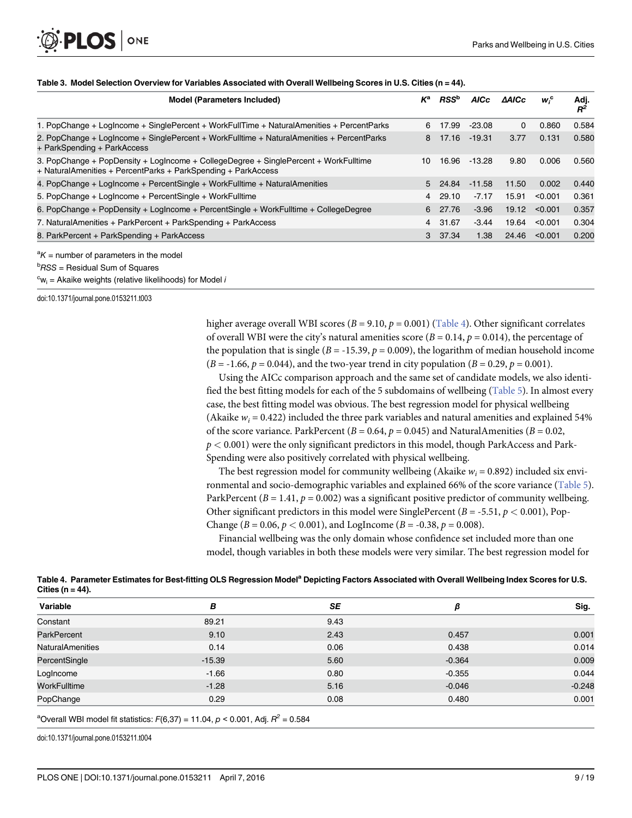<span id="page-8-0"></span>

| <b>Model (Parameters Included)</b>                                                                                                                    |    | <b>RSS<sup>b</sup></b> | <b>AICc</b> | <b>AAICc</b> | $w_i^{\rm c}$ | Adj.<br>$R^2$ |
|-------------------------------------------------------------------------------------------------------------------------------------------------------|----|------------------------|-------------|--------------|---------------|---------------|
| 1. PopChange + LogIncome + SinglePercent + WorkFullTime + NaturalAmenities + PercentParks                                                             | 6. | 17.99                  | $-23.08$    | 0            | 0.860         | 0.584         |
| 2. PopChange + LogIncome + SinglePercent + WorkFulltime + NaturalAmenities + PercentParks<br>+ ParkSpending + ParkAccess                              | 8  | 17.16                  | $-19.31$    | 3.77         | 0.131         | 0.580         |
| 3. PopChange + PopDensity + LogIncome + CollegeDegree + SinglePercent + WorkFulltime<br>+ NaturalAmenities + PercentParks + ParkSpending + ParkAccess | 10 | 16.96                  | -13.28      | 9.80         | 0.006         | 0.560         |
| 4. PopChange + LogIncome + PercentSingle + WorkFulltime + NaturalAmenities                                                                            |    | 5 24.84                | $-11.58$    | 11.50        | 0.002         | 0.440         |
| 5. PopChange + LogIncome + PercentSingle + WorkFulltime                                                                                               | 4  | 29.10                  | $-7.17$     | 15.91        | < 0.001       | 0.361         |
| 6. PopChange + PopDensity + LogIncome + PercentSingle + WorkFulltime + CollegeDegree                                                                  | 6. | 27.76                  | $-3.96$     | 19.12        | < 0.001       | 0.357         |
| 7. NaturalAmenities + ParkPercent + ParkSpending + ParkAccess                                                                                         | 4  | 31.67                  | $-3.44$     | 19.64        | < 0.001       | 0.304         |
| 8. ParkPercent + ParkSpending + ParkAccess                                                                                                            |    | 3 37.34                | 1.38        | 24.46        | < 0.001       | 0.200         |

#### [Table 3.](#page-7-0) Model Selection Overview for Variables Associated with Overall Wellbeing Scores in U.S. Cities (n = 44).

 ${}^{\rm a}$ K = number of parameters in the model

<sup>b</sup>RSS = Residual Sum of Squares

 $c_{W_i}$  = Akaike weights (relative likelihoods) for Model i

doi:10.1371/journal.pone.0153211.t003

higher average overall WBI scores ( $B = 9.10$ ,  $p = 0.001$ ) (Table 4). Other significant correlates of overall WBI were the city's natural amenities score ( $B = 0.14$ ,  $p = 0.014$ ), the percentage of the population that is single ( $B = -15.39$ ,  $p = 0.009$ ), the logarithm of median household income  $(B = -1.66, p = 0.044)$ , and the two-year trend in city population  $(B = 0.29, p = 0.001)$ .

Using the AICc comparison approach and the same set of candidate models, we also identified the best fitting models for each of the 5 subdomains of wellbeing ([Table 5](#page-9-0)). In almost every case, the best fitting model was obvious. The best regression model for physical wellbeing (Akaike  $w_i$  = 0.422) included the three park variables and natural amenities and explained 54% of the score variance. ParkPercent ( $B = 0.64$ ,  $p = 0.045$ ) and NaturalAmenities ( $B = 0.02$ ,  $p < 0.001$ ) were the only significant predictors in this model, though ParkAccess and Park-Spending were also positively correlated with physical wellbeing.

The best regression model for community wellbeing (Akaike  $w_i = 0.892$ ) included six environmental and socio-demographic variables and explained 66% of the score variance ([Table 5\)](#page-9-0). ParkPercent ( $B = 1.41$ ,  $p = 0.002$ ) was a significant positive predictor of community wellbeing. Other significant predictors in this model were SinglePercent ( $B = -5.51$ ,  $p < 0.001$ ), Pop-Change ( $B = 0.06$ ,  $p < 0.001$ ), and LogIncome ( $B = -0.38$ ,  $p = 0.008$ ).

Financial wellbeing was the only domain whose confidence set included more than one model, though variables in both these models were very similar. The best regression model for



|          |      |          | Sig.     |
|----------|------|----------|----------|
| 89.21    | 9.43 |          |          |
| 9.10     | 2.43 | 0.457    | 0.001    |
| 0.14     | 0.06 | 0.438    | 0.014    |
| $-15.39$ | 5.60 | $-0.364$ | 0.009    |
| $-1.66$  | 0.80 | $-0.355$ | 0.044    |
| $-1.28$  | 5.16 | $-0.046$ | $-0.248$ |
| 0.29     | 0.08 | 0.480    | 0.001    |
|          | В    | SE       | β        |

<sup>a</sup>Overall WBI model fit statistics:  $F(6,37) = 11.04$ ,  $p < 0.001$ , Adj.  $R^2 = 0.584$ 

doi:10.1371/journal.pone.0153211.t004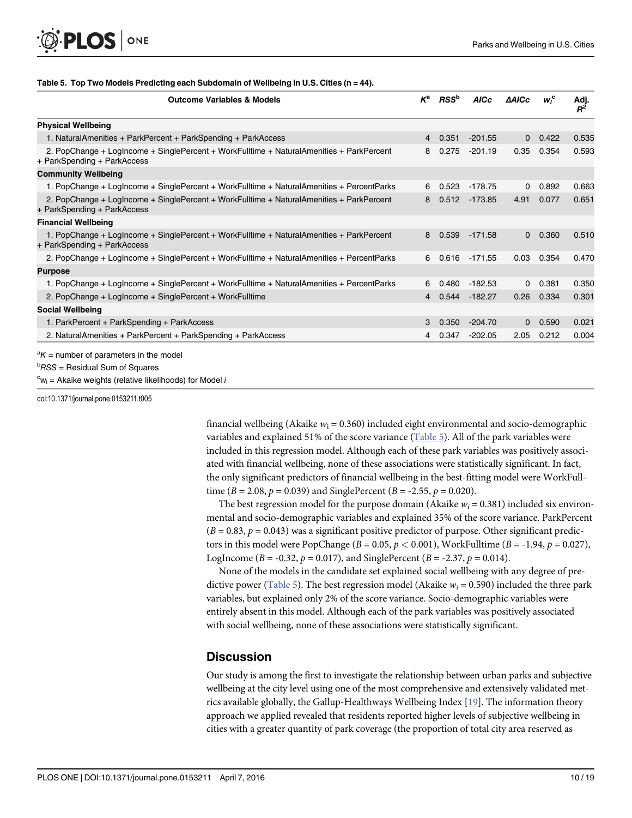<span id="page-9-0"></span>

#### [Table 5.](#page-8-0) Top Two Models Predicting each Subdomain of Wellbeing in U.S. Cities (n = 44).

| <b>Outcome Variables &amp; Models</b>                                                                                   |                | $K^{\rm a}$<br><b>RSS</b> b | <b>AICc</b>       | <b>AAICc</b> | $w_i^{\rm c}$   | Adj.<br>$R^2$ |
|-------------------------------------------------------------------------------------------------------------------------|----------------|-----------------------------|-------------------|--------------|-----------------|---------------|
| <b>Physical Wellbeing</b>                                                                                               |                |                             |                   |              |                 |               |
| 1. NaturalAmenities + ParkPercent + ParkSpending + ParkAccess                                                           | 4              | 0.351                       | $-201.55$         |              | $0 \quad 0.422$ | 0.535         |
| 2. PopChange + LogIncome + SinglePercent + WorkFulltime + NaturalAmenities + ParkPercent<br>+ ParkSpending + ParkAccess | 8              | 0.275                       | $-201.19$         | 0.35         | 0.354           | 0.593         |
| <b>Community Wellbeing</b>                                                                                              |                |                             |                   |              |                 |               |
| 1. PopChange + LogIncome + SinglePercent + WorkFulltime + NaturalAmenities + PercentParks                               | 6              | 0.523                       | $-178.75$         | $\mathbf{0}$ | 0.892           | 0.663         |
| 2. PopChange + LogIncome + SinglePercent + WorkFulltime + NaturalAmenities + ParkPercent<br>+ ParkSpending + ParkAccess | 8              |                             | 0.512 -173.85     | 4.91         | 0.077           | 0.651         |
| <b>Financial Wellbeing</b>                                                                                              |                |                             |                   |              |                 |               |
| 1. PopChange + LogIncome + SinglePercent + WorkFulltime + NaturalAmenities + ParkPercent<br>+ ParkSpending + ParkAccess |                | 0.539                       | -171.58           | $\Omega$     | 0.360           | 0.510         |
| 2. PopChange + LogIncome + SinglePercent + WorkFulltime + NaturalAmenities + PercentParks                               |                |                             | 6  0.616  -171.55 |              | $0.03$ 0.354    | 0.470         |
| <b>Purpose</b>                                                                                                          |                |                             |                   |              |                 |               |
| 1. PopChange + LogIncome + SinglePercent + WorkFulltime + NaturalAmenities + PercentParks                               | 6.             | 0.480                       | $-182.53$         | $\mathbf{0}$ | 0.381           | 0.350         |
| 2. PopChange + LogIncome + SinglePercent + WorkFulltime                                                                 | $\overline{4}$ |                             | 0.544 -182.27     | 0.26         | 0.334           | 0.301         |
| <b>Social Wellbeing</b>                                                                                                 |                |                             |                   |              |                 |               |
| 1. ParkPercent + ParkSpending + ParkAccess                                                                              | 3              | 0.350                       | $-204.70$         |              | $0$ 0.590       | 0.021         |
| 2. NaturalAmenities + ParkPercent + ParkSpending + ParkAccess                                                           | 4              | 0.347                       | $-202.05$         | 2.05         | 0.212           | 0.004         |

 ${}^{\rm a}$ K = number of parameters in the model

<sup>b</sup>RSS = Residual Sum of Squares

 $c_{W_i}$  = Akaike weights (relative likelihoods) for Model i

doi:10.1371/journal.pone.0153211.t005

financial wellbeing (Akaike  $w_i = 0.360$ ) included eight environmental and socio-demographic variables and explained 51% of the score variance (Table 5). All of the park variables were included in this regression model. Although each of these park variables was positively associated with financial wellbeing, none of these associations were statistically significant. In fact, the only significant predictors of financial wellbeing in the best-fitting model were WorkFulltime ( $B = 2.08$ ,  $p = 0.039$ ) and SinglePercent ( $B = -2.55$ ,  $p = 0.020$ ).

The best regression model for the purpose domain (Akaike  $w_i = 0.381$ ) included six environmental and socio-demographic variables and explained 35% of the score variance. ParkPercent  $(B = 0.83, p = 0.043)$  was a significant positive predictor of purpose. Other significant predictors in this model were PopChange ( $B = 0.05$ ,  $p < 0.001$ ), WorkFulltime ( $B = -1.94$ ,  $p = 0.027$ ), LogIncome ( $B = -0.32$ ,  $p = 0.017$ ), and SinglePercent ( $B = -2.37$ ,  $p = 0.014$ ).

None of the models in the candidate set explained social wellbeing with any degree of predictive power (Table 5). The best regression model (Akaike  $w_i = 0.590$ ) included the three park variables, but explained only 2% of the score variance. Socio-demographic variables were entirely absent in this model. Although each of the park variables was positively associated with social wellbeing, none of these associations were statistically significant.

### **Discussion**

Our study is among the first to investigate the relationship between urban parks and subjective wellbeing at the city level using one of the most comprehensive and extensively validated metrics available globally, the Gallup-Healthways Wellbeing Index [[19](#page-14-0)]. The information theory approach we applied revealed that residents reported higher levels of subjective wellbeing in cities with a greater quantity of park coverage (the proportion of total city area reserved as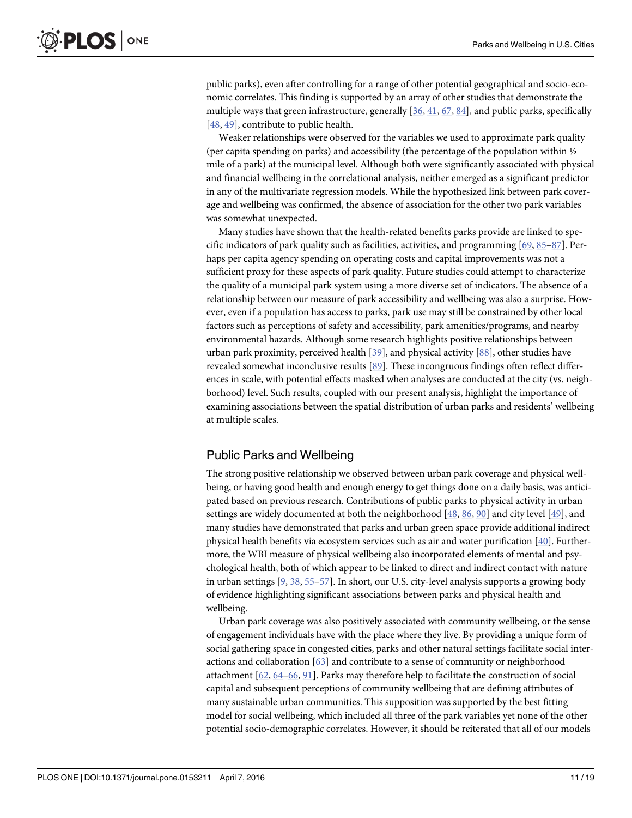<span id="page-10-0"></span>public parks), even after controlling for a range of other potential geographical and socio-economic correlates. This finding is supported by an array of other studies that demonstrate the multiple ways that green infrastructure, generally [\[36,](#page-15-0) [41,](#page-15-0) [67,](#page-16-0) [84\]](#page-17-0), and public parks, specifically [\[48](#page-15-0), [49\]](#page-15-0), contribute to public health.

Weaker relationships were observed for the variables we used to approximate park quality (per capita spending on parks) and accessibility (the percentage of the population within ½ mile of a park) at the municipal level. Although both were significantly associated with physical and financial wellbeing in the correlational analysis, neither emerged as a significant predictor in any of the multivariate regression models. While the hypothesized link between park coverage and wellbeing was confirmed, the absence of association for the other two park variables was somewhat unexpected.

Many studies have shown that the health-related benefits parks provide are linked to specific indicators of park quality such as facilities, activities, and programming [[69,](#page-16-0) [85](#page-17-0)–[87](#page-17-0)]. Perhaps per capita agency spending on operating costs and capital improvements was not a sufficient proxy for these aspects of park quality. Future studies could attempt to characterize the quality of a municipal park system using a more diverse set of indicators. The absence of a relationship between our measure of park accessibility and wellbeing was also a surprise. However, even if a population has access to parks, park use may still be constrained by other local factors such as perceptions of safety and accessibility, park amenities/programs, and nearby environmental hazards. Although some research highlights positive relationships between urban park proximity, perceived health [[39](#page-15-0)], and physical activity [\[88](#page-17-0)], other studies have revealed somewhat inconclusive results [[89](#page-17-0)]. These incongruous findings often reflect differences in scale, with potential effects masked when analyses are conducted at the city (vs. neighborhood) level. Such results, coupled with our present analysis, highlight the importance of examining associations between the spatial distribution of urban parks and residents' wellbeing at multiple scales.

### Public Parks and Wellbeing

The strong positive relationship we observed between urban park coverage and physical wellbeing, or having good health and enough energy to get things done on a daily basis, was anticipated based on previous research. Contributions of public parks to physical activity in urban settings are widely documented at both the neighborhood [[48](#page-15-0), [86](#page-17-0), [90](#page-17-0)] and city level [\[49\]](#page-15-0), and many studies have demonstrated that parks and urban green space provide additional indirect physical health benefits via ecosystem services such as air and water purification [[40](#page-15-0)]. Furthermore, the WBI measure of physical wellbeing also incorporated elements of mental and psychological health, both of which appear to be linked to direct and indirect contact with nature in urban settings [[9,](#page-14-0) [38,](#page-15-0) [55](#page-16-0)–[57](#page-16-0)]. In short, our U.S. city-level analysis supports a growing body of evidence highlighting significant associations between parks and physical health and wellbeing.

Urban park coverage was also positively associated with community wellbeing, or the sense of engagement individuals have with the place where they live. By providing a unique form of social gathering space in congested cities, parks and other natural settings facilitate social interactions and collaboration [[63\]](#page-16-0) and contribute to a sense of community or neighborhood attachment  $[62, 64-66, 91]$  $[62, 64-66, 91]$  $[62, 64-66, 91]$  $[62, 64-66, 91]$  $[62, 64-66, 91]$  $[62, 64-66, 91]$  $[62, 64-66, 91]$  $[62, 64-66, 91]$ . Parks may therefore help to facilitate the construction of social capital and subsequent perceptions of community wellbeing that are defining attributes of many sustainable urban communities. This supposition was supported by the best fitting model for social wellbeing, which included all three of the park variables yet none of the other potential socio-demographic correlates. However, it should be reiterated that all of our models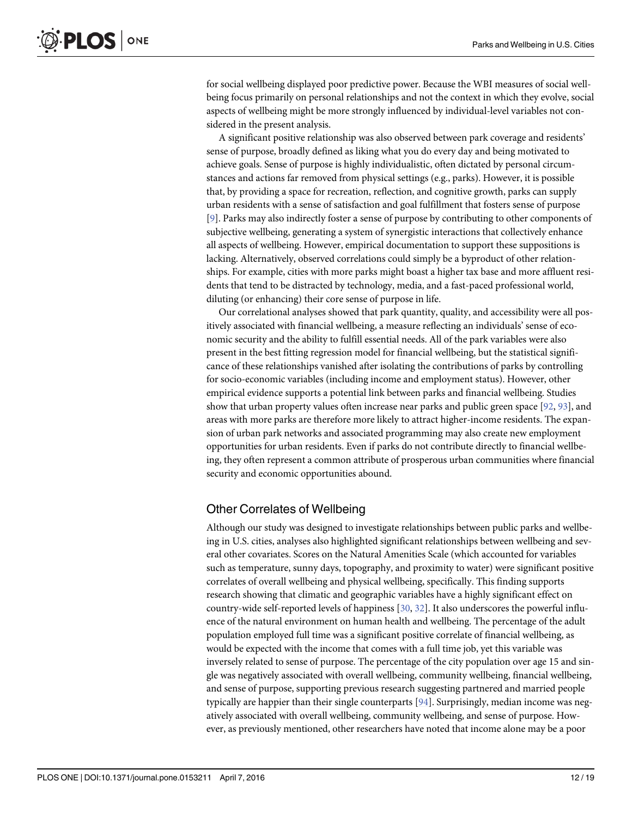<span id="page-11-0"></span>for social wellbeing displayed poor predictive power. Because the WBI measures of social wellbeing focus primarily on personal relationships and not the context in which they evolve, social aspects of wellbeing might be more strongly influenced by individual-level variables not considered in the present analysis.

A significant positive relationship was also observed between park coverage and residents' sense of purpose, broadly defined as liking what you do every day and being motivated to achieve goals. Sense of purpose is highly individualistic, often dictated by personal circumstances and actions far removed from physical settings (e.g., parks). However, it is possible that, by providing a space for recreation, reflection, and cognitive growth, parks can supply urban residents with a sense of satisfaction and goal fulfillment that fosters sense of purpose [\[9](#page-14-0)]. Parks may also indirectly foster a sense of purpose by contributing to other components of subjective wellbeing, generating a system of synergistic interactions that collectively enhance all aspects of wellbeing. However, empirical documentation to support these suppositions is lacking. Alternatively, observed correlations could simply be a byproduct of other relationships. For example, cities with more parks might boast a higher tax base and more affluent residents that tend to be distracted by technology, media, and a fast-paced professional world, diluting (or enhancing) their core sense of purpose in life.

Our correlational analyses showed that park quantity, quality, and accessibility were all positively associated with financial wellbeing, a measure reflecting an individuals' sense of economic security and the ability to fulfill essential needs. All of the park variables were also present in the best fitting regression model for financial wellbeing, but the statistical significance of these relationships vanished after isolating the contributions of parks by controlling for socio-economic variables (including income and employment status). However, other empirical evidence supports a potential link between parks and financial wellbeing. Studies show that urban property values often increase near parks and public green space [[92](#page-17-0), [93](#page-17-0)], and areas with more parks are therefore more likely to attract higher-income residents. The expansion of urban park networks and associated programming may also create new employment opportunities for urban residents. Even if parks do not contribute directly to financial wellbeing, they often represent a common attribute of prosperous urban communities where financial security and economic opportunities abound.

### Other Correlates of Wellbeing

Although our study was designed to investigate relationships between public parks and wellbeing in U.S. cities, analyses also highlighted significant relationships between wellbeing and several other covariates. Scores on the Natural Amenities Scale (which accounted for variables such as temperature, sunny days, topography, and proximity to water) were significant positive correlates of overall wellbeing and physical wellbeing, specifically. This finding supports research showing that climatic and geographic variables have a highly significant effect on country-wide self-reported levels of happiness  $[30, 32]$  $[30, 32]$  $[30, 32]$  $[30, 32]$  $[30, 32]$ . It also underscores the powerful influence of the natural environment on human health and wellbeing. The percentage of the adult population employed full time was a significant positive correlate of financial wellbeing, as would be expected with the income that comes with a full time job, yet this variable was inversely related to sense of purpose. The percentage of the city population over age 15 and single was negatively associated with overall wellbeing, community wellbeing, financial wellbeing, and sense of purpose, supporting previous research suggesting partnered and married people typically are happier than their single counterparts [[94](#page-17-0)]. Surprisingly, median income was negatively associated with overall wellbeing, community wellbeing, and sense of purpose. However, as previously mentioned, other researchers have noted that income alone may be a poor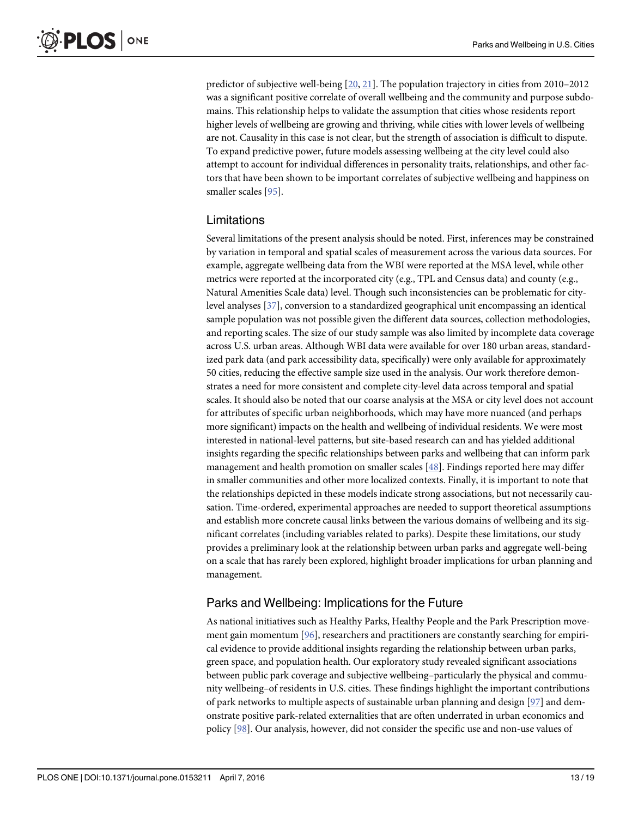<span id="page-12-0"></span>predictor of subjective well-being [\[20,](#page-14-0) [21\]](#page-14-0). The population trajectory in cities from 2010–2012 was a significant positive correlate of overall wellbeing and the community and purpose subdomains. This relationship helps to validate the assumption that cities whose residents report higher levels of wellbeing are growing and thriving, while cities with lower levels of wellbeing are not. Causality in this case is not clear, but the strength of association is difficult to dispute. To expand predictive power, future models assessing wellbeing at the city level could also attempt to account for individual differences in personality traits, relationships, and other factors that have been shown to be important correlates of subjective wellbeing and happiness on smaller scales [\[95\]](#page-18-0).

### Limitations

Several limitations of the present analysis should be noted. First, inferences may be constrained by variation in temporal and spatial scales of measurement across the various data sources. For example, aggregate wellbeing data from the WBI were reported at the MSA level, while other metrics were reported at the incorporated city (e.g., TPL and Census data) and county (e.g., Natural Amenities Scale data) level. Though such inconsistencies can be problematic for citylevel analyses [[37](#page-15-0)], conversion to a standardized geographical unit encompassing an identical sample population was not possible given the different data sources, collection methodologies, and reporting scales. The size of our study sample was also limited by incomplete data coverage across U.S. urban areas. Although WBI data were available for over 180 urban areas, standardized park data (and park accessibility data, specifically) were only available for approximately 50 cities, reducing the effective sample size used in the analysis. Our work therefore demonstrates a need for more consistent and complete city-level data across temporal and spatial scales. It should also be noted that our coarse analysis at the MSA or city level does not account for attributes of specific urban neighborhoods, which may have more nuanced (and perhaps more significant) impacts on the health and wellbeing of individual residents. We were most interested in national-level patterns, but site-based research can and has yielded additional insights regarding the specific relationships between parks and wellbeing that can inform park management and health promotion on smaller scales [\[48\]](#page-15-0). Findings reported here may differ in smaller communities and other more localized contexts. Finally, it is important to note that the relationships depicted in these models indicate strong associations, but not necessarily causation. Time-ordered, experimental approaches are needed to support theoretical assumptions and establish more concrete causal links between the various domains of wellbeing and its significant correlates (including variables related to parks). Despite these limitations, our study provides a preliminary look at the relationship between urban parks and aggregate well-being on a scale that has rarely been explored, highlight broader implications for urban planning and management.

### Parks and Wellbeing: Implications for the Future

As national initiatives such as Healthy Parks, Healthy People and the Park Prescription movement gain momentum [\[96\]](#page-18-0), researchers and practitioners are constantly searching for empirical evidence to provide additional insights regarding the relationship between urban parks, green space, and population health. Our exploratory study revealed significant associations between public park coverage and subjective wellbeing–particularly the physical and community wellbeing–of residents in U.S. cities. These findings highlight the important contributions of park networks to multiple aspects of sustainable urban planning and design [[97\]](#page-18-0) and demonstrate positive park-related externalities that are often underrated in urban economics and policy [[98](#page-18-0)]. Our analysis, however, did not consider the specific use and non-use values of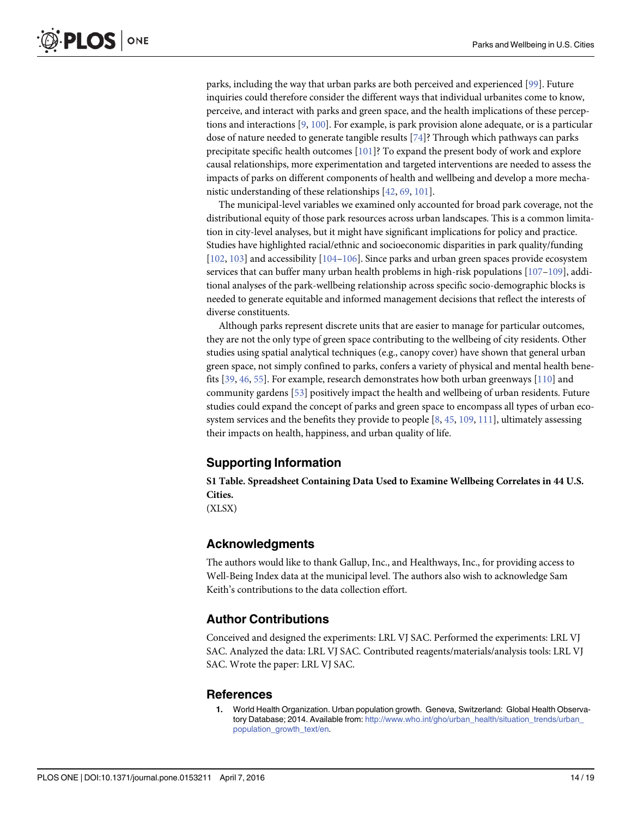<span id="page-13-0"></span>parks, including the way that urban parks are both perceived and experienced [\[99\]](#page-18-0). Future inquiries could therefore consider the different ways that individual urbanites come to know, perceive, and interact with parks and green space, and the health implications of these perceptions and interactions [[9,](#page-14-0) [100](#page-18-0)]. For example, is park provision alone adequate, or is a particular dose of nature needed to generate tangible results [\[74\]](#page-17-0)? Through which pathways can parks precipitate specific health outcomes  $[101]$  $[101]$ ? To expand the present body of work and explore causal relationships, more experimentation and targeted interventions are needed to assess the impacts of parks on different components of health and wellbeing and develop a more mechanistic understanding of these relationships [\[42,](#page-15-0) [69,](#page-16-0) [101\]](#page-18-0).

The municipal-level variables we examined only accounted for broad park coverage, not the distributional equity of those park resources across urban landscapes. This is a common limitation in city-level analyses, but it might have significant implications for policy and practice. Studies have highlighted racial/ethnic and socioeconomic disparities in park quality/funding [\[102,](#page-18-0) [103\]](#page-18-0) and accessibility [\[104](#page-18-0)–[106](#page-18-0)]. Since parks and urban green spaces provide ecosystem services that can buffer many urban health problems in high-risk populations  $[107-109]$  $[107-109]$  $[107-109]$  $[107-109]$  $[107-109]$ , additional analyses of the park-wellbeing relationship across specific socio-demographic blocks is needed to generate equitable and informed management decisions that reflect the interests of diverse constituents.

Although parks represent discrete units that are easier to manage for particular outcomes, they are not the only type of green space contributing to the wellbeing of city residents. Other studies using spatial analytical techniques (e.g., canopy cover) have shown that general urban green space, not simply confined to parks, confers a variety of physical and mental health benefits [[39](#page-15-0), [46](#page-15-0), [55](#page-16-0)]. For example, research demonstrates how both urban greenways [[110](#page-18-0)] and community gardens [\[53\]](#page-16-0) positively impact the health and wellbeing of urban residents. Future studies could expand the concept of parks and green space to encompass all types of urban ecosystem services and the benefits they provide to people  $[8, 45, 109, 111]$  $[8, 45, 109, 111]$  $[8, 45, 109, 111]$  $[8, 45, 109, 111]$  $[8, 45, 109, 111]$  $[8, 45, 109, 111]$  $[8, 45, 109, 111]$ , ultimately assessing their impacts on health, happiness, and urban quality of life.

### Supporting Information

[S1 Table](http://www.plosone.org/article/fetchSingleRepresentation.action?uri=info:doi/10.1371/journal.pone.0153211.s001). Spreadsheet Containing Data Used to Examine Wellbeing Correlates in 44 U.S. Cities. (XLSX)

### Acknowledgments

The authors would like to thank Gallup, Inc., and Healthways, Inc., for providing access to Well-Being Index data at the municipal level. The authors also wish to acknowledge Sam Keith's contributions to the data collection effort.

### Author Contributions

Conceived and designed the experiments: LRL VJ SAC. Performed the experiments: LRL VJ SAC. Analyzed the data: LRL VJ SAC. Contributed reagents/materials/analysis tools: LRL VJ SAC. Wrote the paper: LRL VJ SAC.

### References

[1.](#page-0-0) World Health Organization. Urban population growth. Geneva, Switzerland: Global Health Observatory Database; 2014. Available from: [http://www.who.int/gho/urban\\_health/situation\\_trends/urban\\_](http://www.who.int/gho/urban_health/situation_trends/urban_population_growth_text/en) [population\\_growth\\_text/en.](http://www.who.int/gho/urban_health/situation_trends/urban_population_growth_text/en)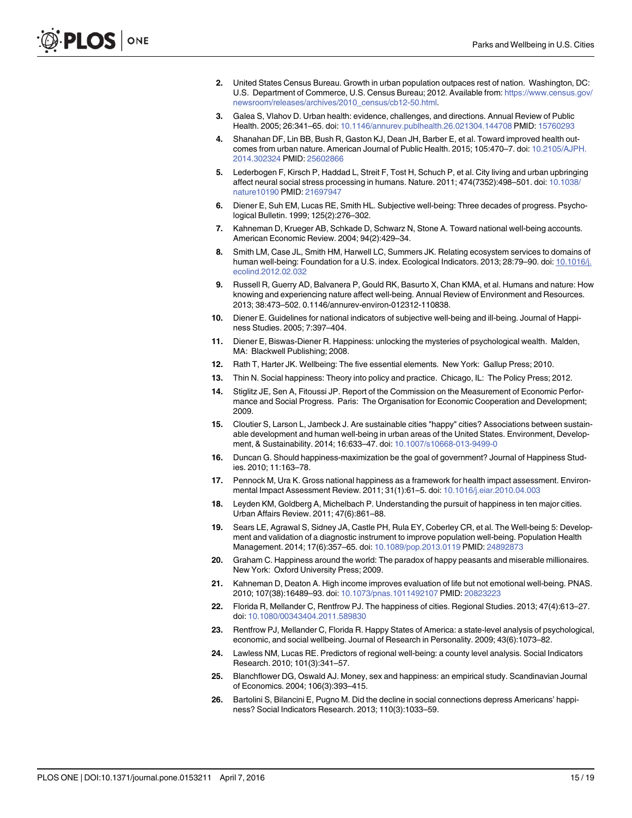- <span id="page-14-0"></span>[2.](#page-0-0) United States Census Bureau. Growth in urban population outpaces rest of nation. Washington, DC: U.S. Department of Commerce, U.S. Census Bureau; 2012. Available from: [https://www.census.gov/](https://www.census.gov/newsroom/releases/archives/2010_census/cb12-50.html) [newsroom/releases/archives/2010\\_census/cb12-50.html](https://www.census.gov/newsroom/releases/archives/2010_census/cb12-50.html).
- [3.](#page-0-0) Galea S, Vlahov D. Urban health: evidence, challenges, and directions. Annual Review of Public Health. 2005; 26:341–65. doi: [10.1146/annurev.publhealth.26.021304.144708](http://dx.doi.org/10.1146/annurev.publhealth.26.021304.144708) PMID: [15760293](http://www.ncbi.nlm.nih.gov/pubmed/15760293)
- [4.](#page-0-0) Shanahan DF, Lin BB, Bush R, Gaston KJ, Dean JH, Barber E, et al. Toward improved health outcomes from urban nature. American Journal of Public Health. 2015; 105:470–7. doi: [10.2105/AJPH.](http://dx.doi.org/10.2105/AJPH.2014.302324) [2014.302324](http://dx.doi.org/10.2105/AJPH.2014.302324) PMID: [25602866](http://www.ncbi.nlm.nih.gov/pubmed/25602866)
- [5.](#page-1-0) Lederbogen F, Kirsch P, Haddad L, Streit F, Tost H, Schuch P, et al. City living and urban upbringing affect neural social stress processing in humans. Nature. 2011; 474(7352):498–501. doi: [10.1038/](http://dx.doi.org/10.1038/nature10190) [nature10190](http://dx.doi.org/10.1038/nature10190) PMID: [21697947](http://www.ncbi.nlm.nih.gov/pubmed/21697947)
- [6.](#page-1-0) Diener E, Suh EM, Lucas RE, Smith HL. Subjective well-being: Three decades of progress. Psychological Bulletin. 1999; 125(2):276–302.
- [7.](#page-1-0) Kahneman D, Krueger AB, Schkade D, Schwarz N, Stone A. Toward national well-being accounts. American Economic Review. 2004; 94(2):429–34.
- [8.](#page-1-0) Smith LM, Case JL, Smith HM, Harwell LC, Summers JK. Relating ecosystem services to domains of human well-being: Foundation for a U.S. index. Ecological Indicators. 2013; 28:79–90. doi: [10.1016/j.](http://dx.doi.org/10.1016/j.ecolind.2012.02.032) [ecolind.2012.02.032](http://dx.doi.org/10.1016/j.ecolind.2012.02.032)
- [9.](#page-1-0) Russell R, Guerry AD, Balvanera P, Gould RK, Basurto X, Chan KMA, et al. Humans and nature: How knowing and experiencing nature affect well-being. Annual Review of Environment and Resources. 2013; 38:473–502. 0.1146/annurev-environ-012312-110838.
- [10.](#page-1-0) Diener E. Guidelines for national indicators of subjective well-being and ill-being. Journal of Happiness Studies. 2005; 7:397–404.
- [11.](#page-1-0) Diener E, Biswas-Diener R. Happiness: unlocking the mysteries of psychological wealth. Malden, MA: Blackwell Publishing; 2008.
- [12.](#page-1-0) Rath T, Harter JK. Wellbeing: The five essential elements. New York: Gallup Press; 2010.
- [13.](#page-1-0) Thin N. Social happiness: Theory into policy and practice. Chicago, IL: The Policy Press; 2012.
- [14.](#page-1-0) Stiglitz JE, Sen A, Fitoussi JP. Report of the Commission on the Measurement of Economic Performance and Social Progress. Paris: The Organisation for Economic Cooperation and Development; 2009.
- [15.](#page-1-0) Cloutier S, Larson L, Jambeck J. Are sustainable cities "happy" cities? Associations between sustainable development and human well-being in urban areas of the United States. Environment, Development, & Sustainability. 2014; 16:633–47. doi: [10.1007/s10668-013-9499-0](http://dx.doi.org/10.1007/s10668-013-9499-0)
- [16.](#page-1-0) Duncan G. Should happiness-maximization be the goal of government? Journal of Happiness Studies. 2010; 11:163–78.
- [17.](#page-1-0) Pennock M, Ura K. Gross national happiness as a framework for health impact assessment. Environmental Impact Assessment Review. 2011; 31(1):61–5. doi: [10.1016/j.eiar.2010.04.003](http://dx.doi.org/10.1016/j.eiar.2010.04.003)
- [18.](#page-1-0) Leyden KM, Goldberg A, Michelbach P. Understanding the pursuit of happiness in ten major cities. Urban Affairs Review. 2011; 47(6):861–88.
- [19.](#page-1-0) Sears LE, Agrawal S, Sidney JA, Castle PH, Rula EY, Coberley CR, et al. The Well-being 5: Development and validation of a diagnostic instrument to improve population well-being. Population Health Management. 2014; 17(6):357–65. doi: [10.1089/pop.2013.0119](http://dx.doi.org/10.1089/pop.2013.0119) PMID: [24892873](http://www.ncbi.nlm.nih.gov/pubmed/24892873)
- [20.](#page-1-0) Graham C. Happiness around the world: The paradox of happy peasants and miserable millionaires. New York: Oxford University Press; 2009.
- [21.](#page-1-0) Kahneman D, Deaton A. High income improves evaluation of life but not emotional well-being. PNAS. 2010; 107(38):16489–93. doi: [10.1073/pnas.1011492107](http://dx.doi.org/10.1073/pnas.1011492107) PMID: [20823223](http://www.ncbi.nlm.nih.gov/pubmed/20823223)
- [22.](#page-1-0) Florida R, Mellander C, Rentfrow PJ. The happiness of cities. Regional Studies. 2013; 47(4):613–27. doi: [10.1080/00343404.2011.589830](http://dx.doi.org/10.1080/00343404.2011.589830)
- 23. Rentfrow PJ, Mellander C, Florida R. Happy States of America: a state-level analysis of psychological, economic, and social wellbeing. Journal of Research in Personality. 2009; 43(6):1073–82.
- [24.](#page-1-0) Lawless NM, Lucas RE. Predictors of regional well-being: a county level analysis. Social Indicators Research. 2010; 101(3):341–57.
- [25.](#page-2-0) Blanchflower DG, Oswald AJ. Money, sex and happiness: an empirical study. Scandinavian Journal of Economics. 2004; 106(3):393–415.
- [26.](#page-2-0) Bartolini S, Bilancini E, Pugno M. Did the decline in social connections depress Americans' happiness? Social Indicators Research. 2013; 110(3):1033–59.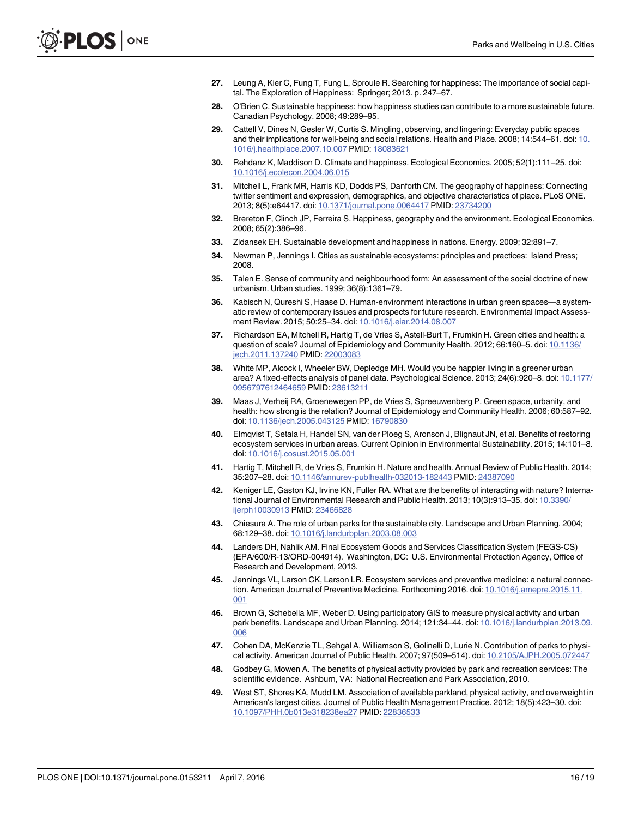- <span id="page-15-0"></span>[27.](#page-2-0) Leung A, Kier C, Fung T, Fung L, Sproule R. Searching for happiness: The importance of social capital. The Exploration of Happiness: Springer; 2013. p. 247–67.
- [28.](#page-2-0) O'Brien C. Sustainable happiness: how happiness studies can contribute to a more sustainable future. Canadian Psychology. 2008; 49:289–95.
- [29.](#page-2-0) Cattell V, Dines N, Gesler W, Curtis S. Mingling, observing, and lingering: Everyday public spaces and their implications for well-being and social relations. Health and Place. 2008; 14:544–61. doi: [10.](http://dx.doi.org/10.1016/j.healthplace.2007.10.007) [1016/j.healthplace.2007.10.007](http://dx.doi.org/10.1016/j.healthplace.2007.10.007) PMID: [18083621](http://www.ncbi.nlm.nih.gov/pubmed/18083621)
- [30.](#page-2-0) Rehdanz K, Maddison D. Climate and happiness. Ecological Economics. 2005; 52(1):111–25. doi: [10.1016/j.ecolecon.2004.06.015](http://dx.doi.org/10.1016/j.ecolecon.2004.06.015)
- 31. Mitchell L, Frank MR, Harris KD, Dodds PS, Danforth CM. The geography of happiness: Connecting twitter sentiment and expression, demographics, and objective characteristics of place. PLoS ONE. 2013; 8(5):e64417. doi: [10.1371/journal.pone.0064417](http://dx.doi.org/10.1371/journal.pone.0064417) PMID: [23734200](http://www.ncbi.nlm.nih.gov/pubmed/23734200)
- [32.](#page-2-0) Brereton F, Clinch JP, Ferreira S. Happiness, geography and the environment. Ecological Economics. 2008; 65(2):386–96.
- [33.](#page-2-0) Zidansek EH. Sustainable development and happiness in nations. Energy. 2009; 32:891–7.
- [34.](#page-2-0) Newman P, Jennings I. Cities as sustainable ecosystems: principles and practices: Island Press; 2008.
- [35.](#page-2-0) Talen E. Sense of community and neighbourhood form: An assessment of the social doctrine of new urbanism. Urban studies. 1999; 36(8):1361–79.
- [36.](#page-2-0) Kabisch N, Qureshi S, Haase D. Human-environment interactions in urban green spaces—a systematic review of contemporary issues and prospects for future research. Environmental Impact Assessment Review. 2015; 50:25–34. doi: [10.1016/j.eiar.2014.08.007](http://dx.doi.org/10.1016/j.eiar.2014.08.007)
- [37.](#page-3-0) Richardson EA, Mitchell R, Hartig T, de Vries S, Astell-Burt T, Frumkin H. Green cities and health: a question of scale? Journal of Epidemiology and Community Health. 2012; 66:160-5. doi: [10.1136/](http://dx.doi.org/10.1136/jech.2011.137240) [jech.2011.137240](http://dx.doi.org/10.1136/jech.2011.137240) PMID: [22003083](http://www.ncbi.nlm.nih.gov/pubmed/22003083)
- [38.](#page-3-0) White MP, Alcock I, Wheeler BW, Depledge MH. Would you be happier living in a greener urban area? A fixed-effects analysis of panel data. Psychological Science. 2013; 24(6):920–8. doi: [10.1177/](http://dx.doi.org/10.1177/0956797612464659) [0956797612464659](http://dx.doi.org/10.1177/0956797612464659) PMID: [23613211](http://www.ncbi.nlm.nih.gov/pubmed/23613211)
- [39.](#page-10-0) Maas J, Verheij RA, Groenewegen PP, de Vries S, Spreeuwenberg P. Green space, urbanity, and health: how strong is the relation? Journal of Epidemiology and Community Health. 2006; 60:587–92. doi: [10.1136/jech.2005.043125](http://dx.doi.org/10.1136/jech.2005.043125) PMID: [16790830](http://www.ncbi.nlm.nih.gov/pubmed/16790830)
- [40.](#page-10-0) Elmqvist T, Setala H, Handel SN, van der Ploeg S, Aronson J, Blignaut JN, et al. Benefits of restoring ecosystem services in urban areas. Current Opinion in Environmental Sustainability. 2015; 14:101–8. doi: [10.1016/j.cosust.2015.05.001](http://dx.doi.org/10.1016/j.cosust.2015.05.001)
- [41.](#page-2-0) Hartig T, Mitchell R, de Vries S, Frumkin H. Nature and health. Annual Review of Public Health. 2014; 35:207–28. doi: [10.1146/annurev-publhealth-032013-182443](http://dx.doi.org/10.1146/annurev-publhealth-032013-182443) PMID: [24387090](http://www.ncbi.nlm.nih.gov/pubmed/24387090)
- [42.](#page-2-0) Keniger LE, Gaston KJ, Irvine KN, Fuller RA. What are the benefits of interacting with nature? International Journal of Environmental Research and Public Health. 2013; 10(3):913–35. doi: [10.3390/](http://dx.doi.org/10.3390/ijerph10030913) [ijerph10030913](http://dx.doi.org/10.3390/ijerph10030913) PMID: [23466828](http://www.ncbi.nlm.nih.gov/pubmed/23466828)
- [43.](#page-2-0) Chiesura A. The role of urban parks for the sustainable city. Landscape and Urban Planning. 2004; 68:129–38. doi: [10.1016/j.landurbplan.2003.08.003](http://dx.doi.org/10.1016/j.landurbplan.2003.08.003)
- 44. Landers DH, Nahlik AM. Final Ecosystem Goods and Services Classification System (FEGS-CS) (EPA/600/R-13/ORD-004914). Washington, DC: U.S. Environmental Protection Agency, Office of Research and Development, 2013.
- [45.](#page-2-0) Jennings VL, Larson CK, Larson LR. Ecosystem services and preventive medicine: a natural connection. American Journal of Preventive Medicine. Forthcoming 2016. doi: [10.1016/j.amepre.2015.11.](http://dx.doi.org/10.1016/j.amepre.2015.11.001) [001](http://dx.doi.org/10.1016/j.amepre.2015.11.001)
- [46.](#page-2-0) Brown G, Schebella MF, Weber D. Using participatory GIS to measure physical activity and urban park benefits. Landscape and Urban Planning. 2014; 121:34–44. doi: [10.1016/j.landurbplan.2013.09.](http://dx.doi.org/10.1016/j.landurbplan.2013.09.006) [006](http://dx.doi.org/10.1016/j.landurbplan.2013.09.006)
- 47. Cohen DA, McKenzie TL, Sehgal A, Williamson S, Golinelli D, Lurie N. Contribution of parks to physical activity. American Journal of Public Health. 2007; 97(509–514). doi: [10.2105/AJPH.2005.072447](http://dx.doi.org/10.2105/AJPH.2005.072447)
- [48.](#page-3-0) Godbey G, Mowen A. The benefits of physical activity provided by park and recreation services: The scientific evidence. Ashburn, VA: National Recreation and Park Association, 2010.
- [49.](#page-2-0) West ST, Shores KA, Mudd LM. Association of available parkland, physical activity, and overweight in American's largest cities. Journal of Public Health Management Practice. 2012; 18(5):423–30. doi: [10.1097/PHH.0b013e318238ea27](http://dx.doi.org/10.1097/PHH.0b013e318238ea27) PMID: [22836533](http://www.ncbi.nlm.nih.gov/pubmed/22836533)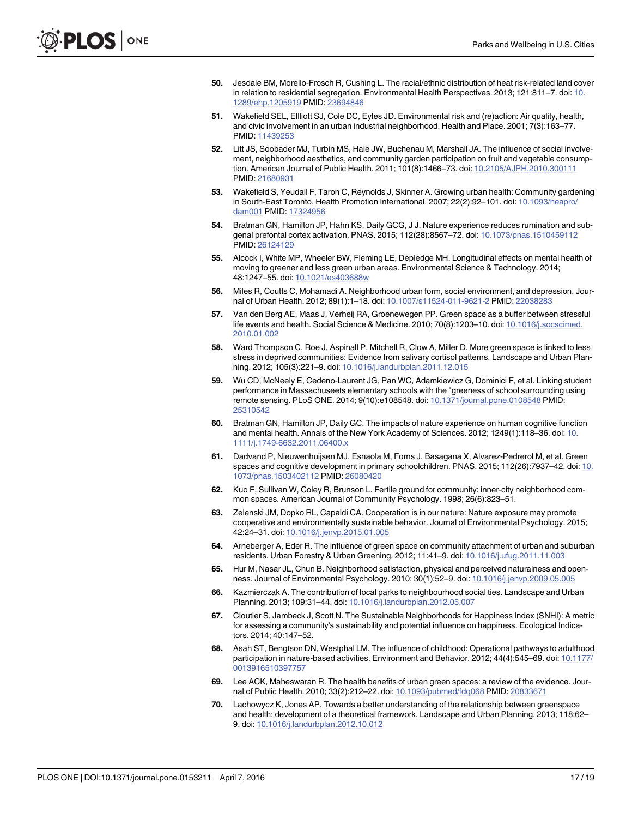- <span id="page-16-0"></span>[50.](#page-2-0) Jesdale BM, Morello-Frosch R, Cushing L. The racial/ethnic distribution of heat risk-related land cover in relation to residential segregation. Environmental Health Perspectives. 2013; 121:811–7. doi: [10.](http://dx.doi.org/10.1289/ehp.1205919) [1289/ehp.1205919](http://dx.doi.org/10.1289/ehp.1205919) PMID: [23694846](http://www.ncbi.nlm.nih.gov/pubmed/23694846)
- [51.](#page-2-0) Wakefield SEL, Ellliott SJ, Cole DC, Eyles JD. Environmental risk and (re)action: Air quality, health, and civic involvement in an urban industrial neighborhood. Health and Place. 2001; 7(3):163–77. PMID: [11439253](http://www.ncbi.nlm.nih.gov/pubmed/11439253)
- [52.](#page-2-0) Litt JS, Soobader MJ, Turbin MS, Hale JW, Buchenau M, Marshall JA. The influence of social involvement, neighborhood aesthetics, and community garden participation on fruit and vegetable consumption. American Journal of Public Health. 2011; 101(8):1466–73. doi: [10.2105/AJPH.2010.300111](http://dx.doi.org/10.2105/AJPH.2010.300111) PMID: [21680931](http://www.ncbi.nlm.nih.gov/pubmed/21680931)
- [53.](#page-2-0) Wakefield S, Yeudall F, Taron C, Reynolds J, Skinner A. Growing urban health: Community gardening in South-East Toronto. Health Promotion International. 2007; 22(2):92–101. doi: [10.1093/heapro/](http://dx.doi.org/10.1093/heapro/dam001) [dam001](http://dx.doi.org/10.1093/heapro/dam001) PMID: [17324956](http://www.ncbi.nlm.nih.gov/pubmed/17324956)
- [54.](#page-2-0) Bratman GN, Hamilton JP, Hahn KS, Daily GCG, J J. Nature experience reduces rumination and subgenal prefontal cortex activation. PNAS. 2015; 112(28):8567–72. doi: [10.1073/pnas.1510459112](http://dx.doi.org/10.1073/pnas.1510459112) PMID: [26124129](http://www.ncbi.nlm.nih.gov/pubmed/26124129)
- [55.](#page-2-0) Alcock I, White MP, Wheeler BW, Fleming LE, Depledge MH. Longitudinal effects on mental health of moving to greener and less green urban areas. Environmental Science & Technology. 2014; 48:1247–55. doi: [10.1021/es403688w](http://dx.doi.org/10.1021/es403688w)
- [56.](#page-2-0) Miles R, Coutts C, Mohamadi A. Neighborhood urban form, social environment, and depression. Journal of Urban Health. 2012; 89(1):1–18. doi: [10.1007/s11524-011-9621-2](http://dx.doi.org/10.1007/s11524-011-9621-2) PMID: [22038283](http://www.ncbi.nlm.nih.gov/pubmed/22038283)
- [57.](#page-2-0) Van den Berg AE, Maas J, Verheij RA, Groenewegen PP. Green space as a buffer between stressful life events and health. Social Science & Medicine. 2010; 70(8):1203-10. doi: [10.1016/j.socscimed.](http://dx.doi.org/10.1016/j.socscimed.2010.01.002) [2010.01.002](http://dx.doi.org/10.1016/j.socscimed.2010.01.002)
- [58.](#page-2-0) Ward Thompson C, Roe J, Aspinall P, Mitchell R, Clow A, Miller D. More green space is linked to less stress in deprived communities: Evidence from salivary cortisol patterns. Landscape and Urban Planning. 2012; 105(3):221–9. doi: [10.1016/j.landurbplan.2011.12.015](http://dx.doi.org/10.1016/j.landurbplan.2011.12.015)
- [59.](#page-2-0) Wu CD, McNeely E, Cedeno-Laurent JG, Pan WC, Adamkiewicz G, Dominici F, et al. Linking student performance in Massachuseets elementary schools with the "greeness of school surrounding using remote sensing. PLoS ONE. 2014; 9(10):e108548. doi: [10.1371/journal.pone.0108548](http://dx.doi.org/10.1371/journal.pone.0108548) PMID: [25310542](http://www.ncbi.nlm.nih.gov/pubmed/25310542)
- 60. Bratman GN, Hamilton JP, Daily GC. The impacts of nature experience on human cognitive function and mental health. Annals of the New York Academy of Sciences. 2012; 1249(1):118–36. doi: [10.](http://dx.doi.org/10.1111/j.1749-6632.2011.06400.x) [1111/j.1749-6632.2011.06400.x](http://dx.doi.org/10.1111/j.1749-6632.2011.06400.x)
- [61.](#page-2-0) Dadvand P, Nieuwenhuijsen MJ, Esnaola M, Forns J, Basagana X, Alvarez-Pedrerol M, et al. Green spaces and cognitive development in primary schoolchildren. PNAS. 2015; 112(26):7937–42. doi: [10.](http://dx.doi.org/10.1073/pnas.1503402112) [1073/pnas.1503402112](http://dx.doi.org/10.1073/pnas.1503402112) PMID: [26080420](http://www.ncbi.nlm.nih.gov/pubmed/26080420)
- [62.](#page-2-0) Kuo F, Sullivan W, Coley R, Brunson L. Fertile ground for community: inner-city neighborhood common spaces. American Journal of Community Psychology. 1998; 26(6):823–51.
- [63.](#page-10-0) Zelenski JM, Dopko RL, Capaldi CA. Cooperation is in our nature: Nature exposure may promote cooperative and environmentally sustainable behavior. Journal of Environmental Psychology. 2015; 42:24–31. doi: [10.1016/j.jenvp.2015.01.005](http://dx.doi.org/10.1016/j.jenvp.2015.01.005)
- [64.](#page-10-0) Arneberger A, Eder R. The influence of green space on community attachment of urban and suburban residents. Urban Forestry & Urban Greening. 2012; 11:41–9. doi: [10.1016/j.ufug.2011.11.003](http://dx.doi.org/10.1016/j.ufug.2011.11.003)
- 65. Hur M, Nasar JL, Chun B. Neighborhood satisfaction, physical and perceived naturalness and openness. Journal of Environmental Psychology. 2010; 30(1):52–9. doi: [10.1016/j.jenvp.2009.05.005](http://dx.doi.org/10.1016/j.jenvp.2009.05.005)
- [66.](#page-2-0) Kazmierczak A. The contribution of local parks to neighbourhood social ties. Landscape and Urban Planning. 2013; 109:31–44. doi: [10.1016/j.landurbplan.2012.05.007](http://dx.doi.org/10.1016/j.landurbplan.2012.05.007)
- [67.](#page-2-0) Cloutier S, Jambeck J, Scott N. The Sustainable Neighborhoods for Happiness Index (SNHI): A metric for assessing a community's sustainability and potential influence on happiness. Ecological Indicators. 2014; 40:147–52.
- [68.](#page-3-0) Asah ST, Bengtson DN, Westphal LM. The influence of childhood: Operational pathways to adulthood participation in nature-based activities. Environment and Behavior. 2012; 44(4):545–69. doi: [10.1177/](http://dx.doi.org/10.1177/0013916510397757) [0013916510397757](http://dx.doi.org/10.1177/0013916510397757)
- [69.](#page-3-0) Lee ACK, Maheswaran R. The health benefits of urban green spaces: a review of the evidence. Journal of Public Health. 2010; 33(2):212–22. doi: [10.1093/pubmed/fdq068](http://dx.doi.org/10.1093/pubmed/fdq068) PMID: [20833671](http://www.ncbi.nlm.nih.gov/pubmed/20833671)
- [70.](#page-3-0) Lachowycz K, Jones AP. Towards a better understanding of the relationship between greenspace and health: development of a theoretical framework. Landscape and Urban Planning. 2013; 118:62– 9. doi: [10.1016/j.landurbplan.2012.10.012](http://dx.doi.org/10.1016/j.landurbplan.2012.10.012)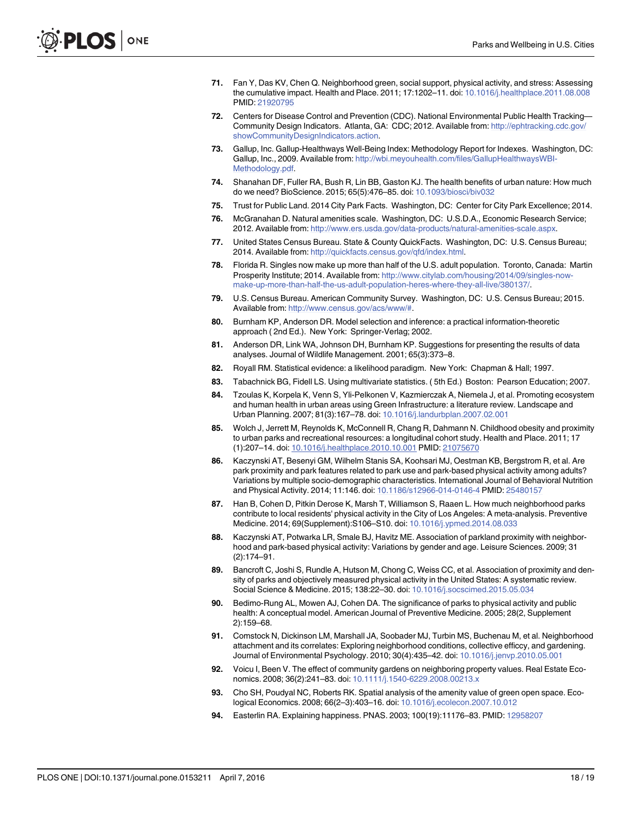- <span id="page-17-0"></span>[71.](#page-3-0) Fan Y, Das KV, Chen Q. Neighborhood green, social support, physical activity, and stress: Assessing the cumulative impact. Health and Place. 2011; 17:1202–11. doi: [10.1016/j.healthplace.2011.08.008](http://dx.doi.org/10.1016/j.healthplace.2011.08.008) PMID: [21920795](http://www.ncbi.nlm.nih.gov/pubmed/21920795)
- [72.](#page-3-0) Centers for Disease Control and Prevention (CDC). National Environmental Public Health Tracking— Community Design Indicators. Atlanta, GA: CDC; 2012. Available from: [http://ephtracking.cdc.gov/](http://ephtracking.cdc.gov/showCommunityDesignIndicators.action) [showCommunityDesignIndicators.action.](http://ephtracking.cdc.gov/showCommunityDesignIndicators.action)
- [73.](#page-4-0) Gallup, Inc. Gallup-Healthways Well-Being Index: Methodology Report for Indexes. Washington, DC: Gallup, Inc., 2009. Available from: [http://wbi.meyouhealth.com/files/GallupHealthwaysWBI-](http://wbi.meyouhealth.com/files/GallupHealthwaysWBI-Methodology.pdf)[Methodology.pdf](http://wbi.meyouhealth.com/files/GallupHealthwaysWBI-Methodology.pdf).
- [74.](#page-4-0) Shanahan DF, Fuller RA, Bush R, Lin BB, Gaston KJ. The health benefits of urban nature: How much do we need? BioScience. 2015; 65(5):476–85. doi: [10.1093/biosci/biv032](http://dx.doi.org/10.1093/biosci/biv032)
- [75.](#page-4-0) Trust for Public Land. 2014 City Park Facts. Washington, DC: Center for City Park Excellence; 2014.
- [76.](#page-5-0) McGranahan D. Natural amenities scale. Washington, DC: U.S.D.A., Economic Research Service; 2012. Available from: <http://www.ers.usda.gov/data-products/natural-amenities-scale.aspx>.
- [77.](#page-5-0) United States Census Bureau. State & County QuickFacts. Washington, DC: U.S. Census Bureau; 2014. Available from: <http://quickfacts.census.gov/qfd/index.html>.
- [78.](#page-6-0) Florida R. Singles now make up more than half of the U.S. adult population. Toronto, Canada: Martin Prosperity Institute; 2014. Available from: [http://www.citylab.com/housing/2014/09/singles-now](http://www.citylab.com/housing/2014/09/singles-now-make-up-more-than-half-the-us-adult-population-heres-where-they-all-live/380137/)[make-up-more-than-half-the-us-adult-population-heres-where-they-all-live/380137/](http://www.citylab.com/housing/2014/09/singles-now-make-up-more-than-half-the-us-adult-population-heres-where-they-all-live/380137/).
- [79.](#page-6-0) U.S. Census Bureau. American Community Survey. Washington, DC: U.S. Census Bureau; 2015. Available from: <http://www.census.gov/acs/www/#>.
- [80.](#page-6-0) Burnham KP, Anderson DR. Model selection and inference: a practical information-theoretic approach ( 2nd Ed.). New York: Springer-Verlag; 2002.
- [81.](#page-6-0) Anderson DR, Link WA, Johnson DH, Burnham KP. Suggestions for presenting the results of data analyses. Journal of Wildlife Management. 2001; 65(3):373–8.
- [82.](#page-6-0) Royall RM. Statistical evidence: a likelihood paradigm. New York: Chapman & Hall; 1997.
- [83.](#page-7-0) Tabachnick BG, Fidell LS. Using multivariate statistics. (5th Ed.) Boston: Pearson Education; 2007.
- [84.](#page-10-0) Tzoulas K, Korpela K, Venn S, Yli-Pelkonen V, Kazmierczak A, Niemela J, et al. Promoting ecosystem and human health in urban areas using Green Infrastructure: a literature review. Landscape and Urban Planning. 2007; 81(3):167–78. doi: [10.1016/j.landurbplan.2007.02.001](http://dx.doi.org/10.1016/j.landurbplan.2007.02.001)
- [85.](#page-10-0) Wolch J, Jerrett M, Reynolds K, McConnell R, Chang R, Dahmann N. Childhood obesity and proximity to urban parks and recreational resources: a longitudinal cohort study. Health and Place. 2011; 17 (1):207–14. doi: [10.1016/j.healthplace.2010.10.001](http://dx.doi.org/10.1016/j.healthplace.2010.10.001) PMID: [21075670](http://www.ncbi.nlm.nih.gov/pubmed/21075670)
- [86.](#page-10-0) Kaczynski AT, Besenyi GM, Wilhelm Stanis SA, Koohsari MJ, Oestman KB, Bergstrom R, et al. Are park proximity and park features related to park use and park-based physical activity among adults? Variations by multiple socio-demographic characteristics. International Journal of Behavioral Nutrition and Physical Activity. 2014; 11:146. doi: [10.1186/s12966-014-0146-4](http://dx.doi.org/10.1186/s12966-014-0146-4) PMID: [25480157](http://www.ncbi.nlm.nih.gov/pubmed/25480157)
- [87.](#page-10-0) Han B, Cohen D, Pitkin Derose K, Marsh T, Williamson S, Raaen L. How much neighborhood parks contribute to local residents' physical activity in the City of Los Angeles: A meta-analysis. Preventive Medicine. 2014; 69(Supplement):S106–S10. doi: [10.1016/j.ypmed.2014.08.033](http://dx.doi.org/10.1016/j.ypmed.2014.08.033)
- [88.](#page-10-0) Kaczynski AT, Potwarka LR, Smale BJ, Havitz ME. Association of parkland proximity with neighborhood and park-based physical activity: Variations by gender and age. Leisure Sciences. 2009; 31 (2):174–91.
- [89.](#page-10-0) Bancroft C, Joshi S, Rundle A, Hutson M, Chong C, Weiss CC, et al. Association of proximity and density of parks and objectively measured physical activity in the United States: A systematic review. Social Science & Medicine. 2015; 138:22–30. doi: [10.1016/j.socscimed.2015.05.034](http://dx.doi.org/10.1016/j.socscimed.2015.05.034)
- [90.](#page-10-0) Bedimo-Rung AL, Mowen AJ, Cohen DA. The significance of parks to physical activity and public health: A conceptual model. American Journal of Preventive Medicine. 2005; 28(2, Supplement 2):159–68.
- [91.](#page-10-0) Comstock N, Dickinson LM, Marshall JA, Soobader MJ, Turbin MS, Buchenau M, et al. Neighborhood attachment and its correlates: Exploring neighborhood conditions, collective efficcy, and gardening. Journal of Environmental Psychology. 2010; 30(4):435–42. doi: [10.1016/j.jenvp.2010.05.001](http://dx.doi.org/10.1016/j.jenvp.2010.05.001)
- [92.](#page-11-0) Voicu I, Been V. The effect of community gardens on neighboring property values. Real Estate Economics. 2008; 36(2):241–83. doi: [10.1111/j.1540-6229.2008.00213.x](http://dx.doi.org/10.1111/j.1540-6229.2008.00213.x)
- [93.](#page-11-0) Cho SH, Poudyal NC, Roberts RK. Spatial analysis of the amenity value of green open space. Ecological Economics. 2008; 66(2–3):403–16. doi: [10.1016/j.ecolecon.2007.10.012](http://dx.doi.org/10.1016/j.ecolecon.2007.10.012)
- [94.](#page-11-0) Easterlin RA. Explaining happiness. PNAS. 2003; 100(19):11176–83. PMID: [12958207](http://www.ncbi.nlm.nih.gov/pubmed/12958207)